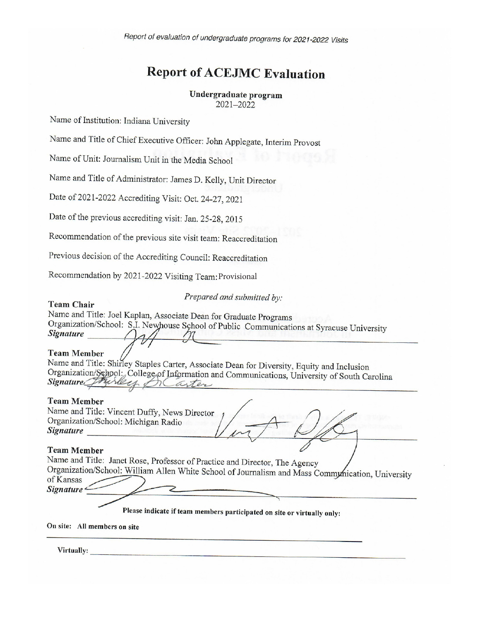Report of evaluation of undergraduate programs for 2021-2022 Visits

# **Report of ACEJMC Evaluation**

#### Undergraduate program 2021-2022

Name of Institution: Indiana University

Name and Title of Chief Executive Officer: John Applegate, Interim Provost

Name of Unit: Journalism Unit in the Media School

Name and Title of Administrator: James D. Kelly, Unit Director

Date of 2021-2022 Accrediting Visit: Oct. 24-27, 2021

Date of the previous accrediting visit: Jan. 25-28, 2015

Recommendation of the previous site visit team: Reaccreditation

Previous decision of the Accrediting Council: Reaccreditation

Recommendation by 2021-2022 Visiting Team: Provisional

Prepared and submitted by:

Name and Title: Joel Kaplan, Associate Dean for Graduate Programs Organization/School: S.I. Newhouse School of Public Communications at Syracuse University **Signature** 

#### **Team Member**

**Team Chair** 

Name and Title: Shirley Staples Carter, Associate Dean for Diversity, Equity and Inclusion Organization/School: College of Information and Communications, University of South Carolina Signature Friday arter

#### **Team Member**

Name and Title: Vincent Duffy, News Director Organization/School: Michigan Radio **Signature** Signature **Signature Signature** 

#### **Team Member**

Name and Title: Janet Rose, Professor of Practice and Director, The Agency Organization/School: William Allen White School of Journalism and Mass Communication, University of Kansas Signature<sup>«</sup>

Please indicate if team members participated on site or virtually only:

On site: All members on site

Virtually: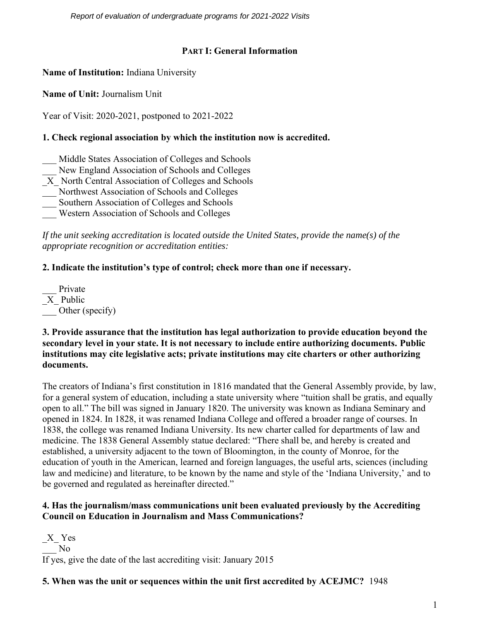*Report of evaluation of undergraduate programs for 2021-2022 Visits* 

# **PART I: General Information**

**Name of Institution:** Indiana University

**Name of Unit:** Journalism Unit

Year of Visit: 2020-2021, postponed to 2021-2022

# **1. Check regional association by which the institution now is accredited.**

- Middle States Association of Colleges and Schools
- New England Association of Schools and Colleges
- $\overline{X}$  North Central Association of Colleges and Schools
- \_\_\_ Northwest Association of Schools and Colleges
- Southern Association of Colleges and Schools
- \_\_\_ Western Association of Schools and Colleges

*If the unit seeking accreditation is located outside the United States, provide the name(s) of the appropriate recognition or accreditation entities:* 

# **2. Indicate the institution's type of control; check more than one if necessary.**

Private \_X\_ Public Other (specify)

#### **3. Provide assurance that the institution has legal authorization to provide education beyond the secondary level in your state. It is not necessary to include entire authorizing documents. Public institutions may cite legislative acts; private institutions may cite charters or other authorizing documents.**

The creators of Indiana's first constitution in 1816 mandated that the General Assembly provide, by law, for a general system of education, including a state university where "tuition shall be gratis, and equally open to all." The bill was signed in January 1820. The university was known as Indiana Seminary and opened in 1824. In 1828, it was renamed Indiana College and offered a broader range of courses. In 1838, the college was renamed Indiana University. Its new charter called for departments of law and medicine. The 1838 General Assembly statue declared: "There shall be, and hereby is created and established, a university adjacent to the town of Bloomington, in the county of Monroe, for the education of youth in the American, learned and foreign languages, the useful arts, sciences (including law and medicine) and literature, to be known by the name and style of the 'Indiana University,' and to be governed and regulated as hereinafter directed."

#### **4. Has the journalism/mass communications unit been evaluated previously by the Accrediting Council on Education in Journalism and Mass Communications?**

 $X$ <sup> $Y$ es</sup>  $\overline{N}$ If yes, give the date of the last accrediting visit: January 2015

# **5. When was the unit or sequences within the unit first accredited by ACEJMC?** 1948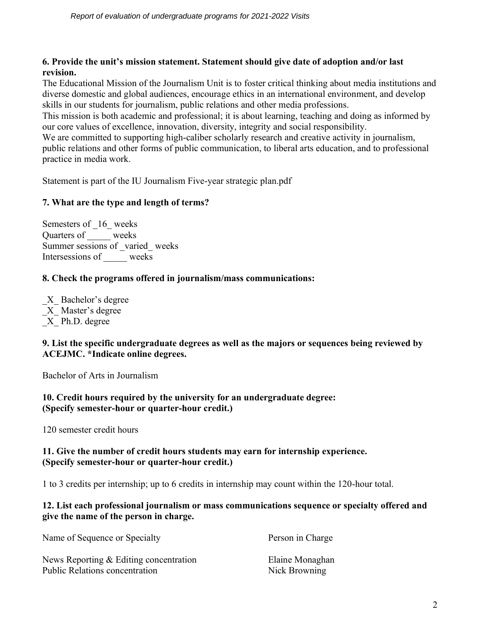# **6. Provide the unit's mission statement. Statement should give date of adoption and/or last revision.**

The Educational Mission of the Journalism Unit is to foster critical thinking about media institutions and diverse domestic and global audiences, encourage ethics in an international environment, and develop skills in our students for journalism, public relations and other media professions.

This mission is both academic and professional; it is about learning, teaching and doing as informed by our core values of excellence, innovation, diversity, integrity and social responsibility.

We are committed to supporting high-caliber scholarly research and creative activity in journalism, public relations and other forms of public communication, to liberal arts education, and to professional practice in media work.

Statement is part of the IU Journalism Five-year strategic plan.pdf

# **7. What are the type and length of terms?**

Semesters of  $16$  weeks Quarters of \_\_\_\_\_ weeks Summer sessions of \_varied\_ weeks Intersessions of \_\_\_\_\_ weeks

# **8. Check the programs offered in journalism/mass communications:**

\_X\_ Bachelor's degree X Master's degree \_X\_ Ph.D. degree

# **9. List the specific undergraduate degrees as well as the majors or sequences being reviewed by ACEJMC. \*Indicate online degrees.**

Bachelor of Arts in Journalism

# **10. Credit hours required by the university for an undergraduate degree: (Specify semester-hour or quarter-hour credit.)**

120 semester credit hours

# **11. Give the number of credit hours students may earn for internship experience. (Specify semester-hour or quarter-hour credit.)**

1 to 3 credits per internship; up to 6 credits in internship may count within the 120-hour total.

#### **12. List each professional journalism or mass communications sequence or specialty offered and give the name of the person in charge.**

| Name of Sequence or Specialty            | Person in Charge |
|------------------------------------------|------------------|
| News Reporting $&$ Editing concentration | Elaine Monaghan  |
| <b>Public Relations concentration</b>    | Nick Browning    |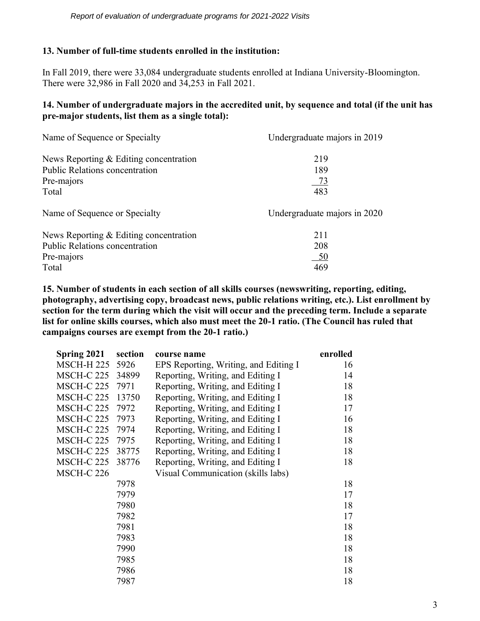## **13. Number of full-time students enrolled in the institution:**

In Fall 2019, there were 33,084 undergraduate students enrolled at Indiana University-Bloomington. There were 32,986 in Fall 2020 and 34,253 in Fall 2021.

#### **14. Number of undergraduate majors in the accredited unit, by sequence and total (if the unit has pre-major students, list them as a single total):**

| Name of Sequence or Specialty            | Undergraduate majors in 2019 |
|------------------------------------------|------------------------------|
| News Reporting $&$ Editing concentration | 219                          |
| <b>Public Relations concentration</b>    | 189                          |
| Pre-majors                               | <u>73</u>                    |
| Total                                    | 483                          |
| Name of Sequence or Specialty            | Undergraduate majors in 2020 |
| News Reporting $&$ Editing concentration | 211                          |
| <b>Public Relations concentration</b>    | 208                          |
| Pre-majors                               | <u>_50</u>                   |
| Total                                    | 469                          |

**15. Number of students in each section of all skills courses (newswriting, reporting, editing, photography, advertising copy, broadcast news, public relations writing, etc.). List enrollment by section for the term during which the visit will occur and the preceding term. Include a separate list for online skills courses, which also must meet the 20-1 ratio. (The Council has ruled that campaigns courses are exempt from the 20-1 ratio.)**

| Spring 2021       | section | course name                           | enrolled |
|-------------------|---------|---------------------------------------|----------|
| <b>MSCH-H 225</b> | 5926    | EPS Reporting, Writing, and Editing I | 16       |
| <b>MSCH-C 225</b> | 34899   | Reporting, Writing, and Editing I     | 14       |
| <b>MSCH-C 225</b> | 7971    | Reporting, Writing, and Editing I     | 18       |
| <b>MSCH-C 225</b> | 13750   | Reporting, Writing, and Editing I     | 18       |
| <b>MSCH-C 225</b> | 7972    | Reporting, Writing, and Editing I     | 17       |
| <b>MSCH-C 225</b> | 7973    | Reporting, Writing, and Editing I     | 16       |
| <b>MSCH-C 225</b> | 7974    | Reporting, Writing, and Editing I     | 18       |
| <b>MSCH-C 225</b> | 7975    | Reporting, Writing, and Editing I     | 18       |
| <b>MSCH-C 225</b> | 38775   | Reporting, Writing, and Editing I     | 18       |
| <b>MSCH-C 225</b> | 38776   | Reporting, Writing, and Editing I     | 18       |
| <b>MSCH-C 226</b> |         | Visual Communication (skills labs)    |          |
|                   | 7978    |                                       | 18       |
|                   | 7979    |                                       | 17       |
|                   | 7980    |                                       | 18       |
|                   | 7982    |                                       | 17       |
|                   | 7981    |                                       | 18       |
|                   | 7983    |                                       | 18       |
|                   | 7990    |                                       | 18       |
|                   | 7985    |                                       | 18       |
|                   | 7986    |                                       | 18       |
|                   | 7987    |                                       | 18       |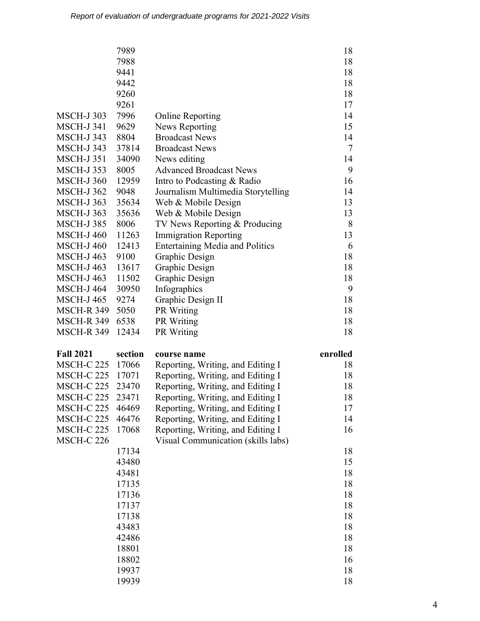|                   | 7989           |                                        | 18       |
|-------------------|----------------|----------------------------------------|----------|
|                   | 7988           |                                        | 18       |
|                   | 9441           |                                        | 18       |
|                   | 9442           |                                        | 18       |
|                   | 9260           |                                        | 18       |
|                   | 9261           |                                        | 17       |
| <b>MSCH-J303</b>  | 7996           | <b>Online Reporting</b>                | 14       |
| <b>MSCH-J 341</b> | 9629           | <b>News Reporting</b>                  | 15       |
| <b>MSCH-J343</b>  | 8804           | <b>Broadcast News</b>                  | 14       |
| <b>MSCH-J 343</b> | 37814          | <b>Broadcast News</b>                  | 7        |
| <b>MSCH-J351</b>  | 34090          | News editing                           | 14       |
| <b>MSCH-J353</b>  | 8005           | <b>Advanced Broadcast News</b>         | 9        |
| <b>MSCH-J360</b>  | 12959          | Intro to Podcasting & Radio            | 16       |
| <b>MSCH-J362</b>  | 9048           | Journalism Multimedia Storytelling     | 14       |
| <b>MSCH-J363</b>  | 35634          | Web & Mobile Design                    | 13       |
| <b>MSCH-J363</b>  | 35636          | Web & Mobile Design                    | 13       |
| <b>MSCH-J385</b>  | 8006           | TV News Reporting & Producing          | 8        |
| <b>MSCH-J 460</b> | 11263          | <b>Immigration Reporting</b>           | 13       |
| <b>MSCH-J460</b>  | 12413          | <b>Entertaining Media and Politics</b> | 6        |
| <b>MSCH-J463</b>  | 9100           | Graphic Design                         | 18       |
| <b>MSCH-J463</b>  | 13617          | Graphic Design                         | 18       |
| <b>MSCH-J463</b>  | 11502          | Graphic Design                         | 18       |
| <b>MSCH-J 464</b> | 30950          | Infographics                           | 9        |
| <b>MSCH-J465</b>  | 9274           | Graphic Design II                      | 18       |
| <b>MSCH-R 349</b> | 5050           | PR Writing                             | 18       |
|                   |                |                                        |          |
| <b>MSCH-R 349</b> | 6538           | PR Writing                             | 18       |
| <b>MSCH-R 349</b> | 12434          | <b>PR</b> Writing                      | 18       |
| <b>Fall 2021</b>  | section        | course name                            | enrolled |
| MSCH-C 225        | 17066          | Reporting, Writing, and Editing I      | 18       |
| <b>MSCH-C 225</b> | 17071          | Reporting, Writing, and Editing I      | 18       |
| <b>MSCH-C 225</b> | 23470          | Reporting, Writing, and Editing I      | 18       |
| <b>MSCH-C 225</b> | 23471          | Reporting, Writing, and Editing I      | 18       |
| <b>MSCH-C 225</b> | 46469          | Reporting, Writing, and Editing I      | 17       |
| <b>MSCH-C 225</b> | 46476          | Reporting, Writing, and Editing I      | 14       |
| <b>MSCH-C 225</b> | 17068          | Reporting, Writing, and Editing I      | 16       |
| <b>MSCH-C 226</b> |                | Visual Communication (skills labs)     |          |
|                   | 17134          |                                        | 18       |
|                   | 43480          |                                        | 15       |
|                   | 43481          |                                        | 18       |
|                   | 17135          |                                        | 18       |
|                   | 17136          |                                        | 18       |
|                   | 17137          |                                        | 18       |
|                   | 17138          |                                        | 18       |
|                   | 43483          |                                        | 18       |
|                   | 42486          |                                        | 18       |
|                   | 18801          |                                        | 18       |
|                   | 18802          |                                        | 16       |
|                   | 19937<br>19939 |                                        | 18<br>18 |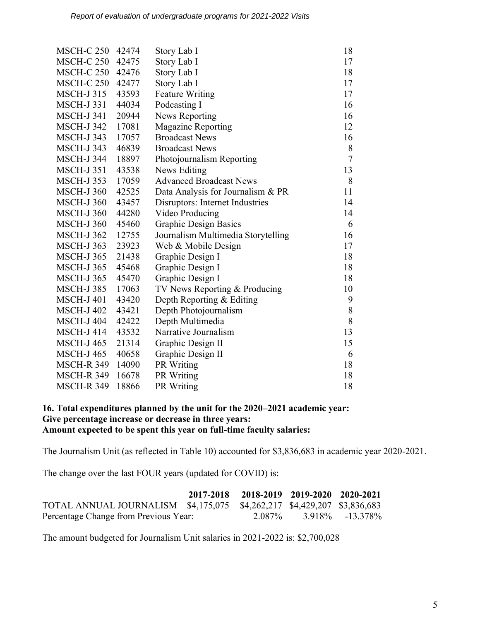| <b>MSCH-C 250</b><br>42474<br><b>MSCH-C 250</b><br>42475 | Story Lab I                        | 18                                                                                                                                                                    |
|----------------------------------------------------------|------------------------------------|-----------------------------------------------------------------------------------------------------------------------------------------------------------------------|
|                                                          |                                    |                                                                                                                                                                       |
|                                                          | Story Lab I                        | 17                                                                                                                                                                    |
| <b>MSCH-C 250</b><br>42476                               | Story Lab I                        | 18                                                                                                                                                                    |
| <b>MSCH-C 250</b><br>42477                               | Story Lab I                        | 17                                                                                                                                                                    |
| 43593                                                    | <b>Feature Writing</b>             | 17                                                                                                                                                                    |
| 44034                                                    | Podcasting I                       | 16                                                                                                                                                                    |
| 20944                                                    | <b>News Reporting</b>              | 16                                                                                                                                                                    |
| 17081                                                    | <b>Magazine Reporting</b>          | 12                                                                                                                                                                    |
| 17057                                                    | <b>Broadcast News</b>              | 16                                                                                                                                                                    |
| 46839                                                    | <b>Broadcast News</b>              | 8                                                                                                                                                                     |
| 18897                                                    | Photojournalism Reporting          | $\overline{7}$                                                                                                                                                        |
| 43538                                                    | News Editing                       | 13                                                                                                                                                                    |
| 17059                                                    | <b>Advanced Broadcast News</b>     | 8                                                                                                                                                                     |
| 42525                                                    |                                    | 11                                                                                                                                                                    |
| 43457                                                    |                                    | 14                                                                                                                                                                    |
| 44280                                                    |                                    | 14                                                                                                                                                                    |
| 45460                                                    |                                    | 6                                                                                                                                                                     |
| 12755                                                    | Journalism Multimedia Storytelling | 16                                                                                                                                                                    |
| 23923                                                    | Web & Mobile Design                | 17                                                                                                                                                                    |
| 21438                                                    | Graphic Design I                   | 18                                                                                                                                                                    |
| 45468                                                    | Graphic Design I                   | 18                                                                                                                                                                    |
| 45470                                                    | Graphic Design I                   | 18                                                                                                                                                                    |
| 17063                                                    | TV News Reporting & Producing      | 10                                                                                                                                                                    |
| 43420                                                    | Depth Reporting & Editing          | 9                                                                                                                                                                     |
| 43421                                                    |                                    | 8                                                                                                                                                                     |
| 42422                                                    | Depth Multimedia                   | 8                                                                                                                                                                     |
| 43532                                                    | Narrative Journalism               | 13                                                                                                                                                                    |
| 21314                                                    | Graphic Design II                  | 15                                                                                                                                                                    |
| 40658                                                    |                                    | 6                                                                                                                                                                     |
| <b>MSCH-R 349</b><br>14090                               | PR Writing                         | 18                                                                                                                                                                    |
| <b>MSCH-R 349</b><br>16678                               | PR Writing                         | 18                                                                                                                                                                    |
| <b>MSCH-R 349</b><br>18866                               | <b>PR</b> Writing                  | 18                                                                                                                                                                    |
|                                                          |                                    | Data Analysis for Journalism & PR<br>Disruptors: Internet Industries<br>Video Producing<br><b>Graphic Design Basics</b><br>Depth Photojournalism<br>Graphic Design II |

#### **16. Total expenditures planned by the unit for the 2020–2021 academic year: Give percentage increase or decrease in three years: Amount expected to be spent this year on full-time faculty salaries:**

The Journalism Unit (as reflected in Table 10) accounted for \$3,836,683 in academic year 2020-2021.

The change over the last FOUR years (updated for COVID) is:

|                                                                         | 2017-2018 2018-2019 2019-2020 2020-2021 |                           |  |
|-------------------------------------------------------------------------|-----------------------------------------|---------------------------|--|
| TOTAL ANNUAL JOURNALISM \$4,175,075 \$4,262,217 \$4,429,207 \$3,836,683 |                                         |                           |  |
| Percentage Change from Previous Year:                                   |                                         | 2.087\% 3.918\% -13.378\% |  |

The amount budgeted for Journalism Unit salaries in 2021-2022 is: \$2,700,028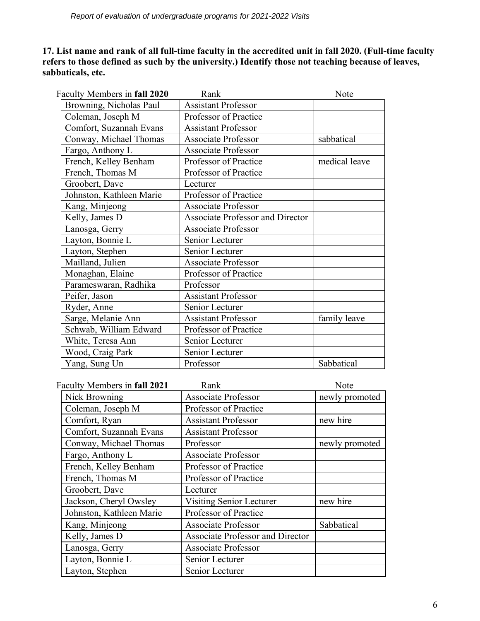**17. List name and rank of all full-time faculty in the accredited unit in fall 2020. (Full-time faculty refers to those defined as such by the university.) Identify those not teaching because of leaves, sabbaticals, etc.**

| Faculty Members in fall 2020 | Rank                                    | Note          |
|------------------------------|-----------------------------------------|---------------|
| Browning, Nicholas Paul      | <b>Assistant Professor</b>              |               |
| Coleman, Joseph M            | Professor of Practice                   |               |
| Comfort, Suzannah Evans      | <b>Assistant Professor</b>              |               |
| Conway, Michael Thomas       | <b>Associate Professor</b>              | sabbatical    |
| Fargo, Anthony L             | <b>Associate Professor</b>              |               |
| French, Kelley Benham        | Professor of Practice                   | medical leave |
| French, Thomas M             | Professor of Practice                   |               |
| Groobert, Dave               | Lecturer                                |               |
| Johnston, Kathleen Marie     | Professor of Practice                   |               |
| Kang, Minjeong               | <b>Associate Professor</b>              |               |
| Kelly, James D               | <b>Associate Professor and Director</b> |               |
| Lanosga, Gerry               | <b>Associate Professor</b>              |               |
| Layton, Bonnie L             | Senior Lecturer                         |               |
| Layton, Stephen              | Senior Lecturer                         |               |
| Mailland, Julien             | <b>Associate Professor</b>              |               |
| Monaghan, Elaine             | Professor of Practice                   |               |
| Parameswaran, Radhika        | Professor                               |               |
| Peifer, Jason                | <b>Assistant Professor</b>              |               |
| Ryder, Anne                  | Senior Lecturer                         |               |
| Sarge, Melanie Ann           | <b>Assistant Professor</b>              | family leave  |
| Schwab, William Edward       | Professor of Practice                   |               |
| White, Teresa Ann            | Senior Lecturer                         |               |
| Wood, Craig Park             | Senior Lecturer                         |               |
| Yang, Sung Un                | Professor                               | Sabbatical    |

| Faculty Members in fall 2021 | Rank                             | Note           |
|------------------------------|----------------------------------|----------------|
| Nick Browning                | <b>Associate Professor</b>       | newly promoted |
| Coleman, Joseph M            | Professor of Practice            |                |
| Comfort, Ryan                | <b>Assistant Professor</b>       | new hire       |
| Comfort, Suzannah Evans      | <b>Assistant Professor</b>       |                |
| Conway, Michael Thomas       | Professor                        | newly promoted |
| Fargo, Anthony L             | <b>Associate Professor</b>       |                |
| French, Kelley Benham        | Professor of Practice            |                |
| French, Thomas M             | Professor of Practice            |                |
| Groobert, Dave               | Lecturer                         |                |
| Jackson, Cheryl Owsley       | Visiting Senior Lecturer         | new hire       |
| Johnston, Kathleen Marie     | Professor of Practice            |                |
| Kang, Minjeong               | <b>Associate Professor</b>       | Sabbatical     |
| Kelly, James D               | Associate Professor and Director |                |
| Lanosga, Gerry               | <b>Associate Professor</b>       |                |
| Layton, Bonnie L             | Senior Lecturer                  |                |
| Layton, Stephen              | Senior Lecturer                  |                |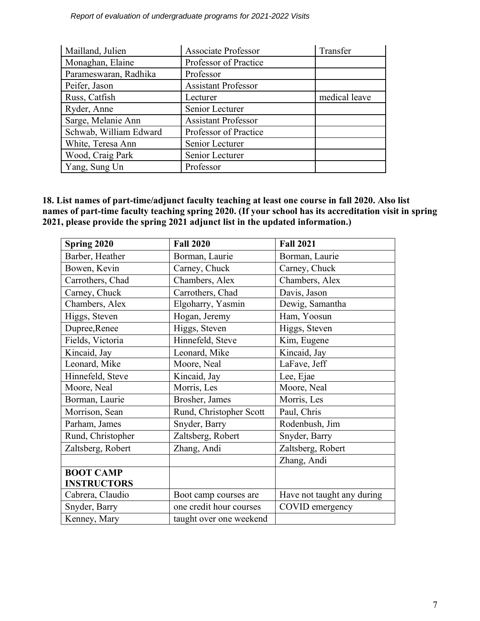*Report of evaluation of undergraduate programs for 2021-2022 Visits* 

| Mailland, Julien       | <b>Associate Professor</b> | Transfer      |
|------------------------|----------------------------|---------------|
| Monaghan, Elaine       | Professor of Practice      |               |
| Parameswaran, Radhika  | Professor                  |               |
| Peifer, Jason          | <b>Assistant Professor</b> |               |
| Russ, Catfish          | Lecturer                   | medical leave |
| Ryder, Anne            | Senior Lecturer            |               |
| Sarge, Melanie Ann     | <b>Assistant Professor</b> |               |
| Schwab, William Edward | Professor of Practice      |               |
| White, Teresa Ann      | Senior Lecturer            |               |
| Wood, Craig Park       | Senior Lecturer            |               |
| Yang, Sung Un          | Professor                  |               |

**18. List names of part-time/adjunct faculty teaching at least one course in fall 2020. Also list names of part-time faculty teaching spring 2020. (If your school has its accreditation visit in spring 2021, please provide the spring 2021 adjunct list in the updated information.)**

| Spring 2020        | <b>Fall 2020</b>        | <b>Fall 2021</b>           |
|--------------------|-------------------------|----------------------------|
| Barber, Heather    | Borman, Laurie          | Borman, Laurie             |
| Bowen, Kevin       | Carney, Chuck           | Carney, Chuck              |
| Carrothers, Chad   | Chambers, Alex          | Chambers, Alex             |
| Carney, Chuck      | Carrothers, Chad        | Davis, Jason               |
| Chambers, Alex     | Elgoharry, Yasmin       | Dewig, Samantha            |
| Higgs, Steven      | Hogan, Jeremy           | Ham, Yoosun                |
| Dupree, Renee      | Higgs, Steven           | Higgs, Steven              |
| Fields, Victoria   | Hinnefeld, Steve        | Kim, Eugene                |
| Kincaid, Jay       | Leonard, Mike           | Kincaid, Jay               |
| Leonard, Mike      | Moore, Neal             | LaFave, Jeff               |
| Hinnefeld, Steve   | Kincaid, Jay            | Lee, Ejae                  |
| Moore, Neal        | Morris, Les             | Moore, Neal                |
| Borman, Laurie     | Brosher, James          | Morris, Les                |
| Morrison, Sean     | Rund, Christopher Scott | Paul, Chris                |
| Parham, James      | Snyder, Barry           | Rodenbush, Jim             |
| Rund, Christopher  | Zaltsberg, Robert       | Snyder, Barry              |
| Zaltsberg, Robert  | Zhang, Andi             | Zaltsberg, Robert          |
|                    |                         | Zhang, Andi                |
| <b>BOOT CAMP</b>   |                         |                            |
| <b>INSTRUCTORS</b> |                         |                            |
| Cabrera, Claudio   | Boot camp courses are   | Have not taught any during |
| Snyder, Barry      | one credit hour courses | COVID emergency            |
| Kenney, Mary       | taught over one weekend |                            |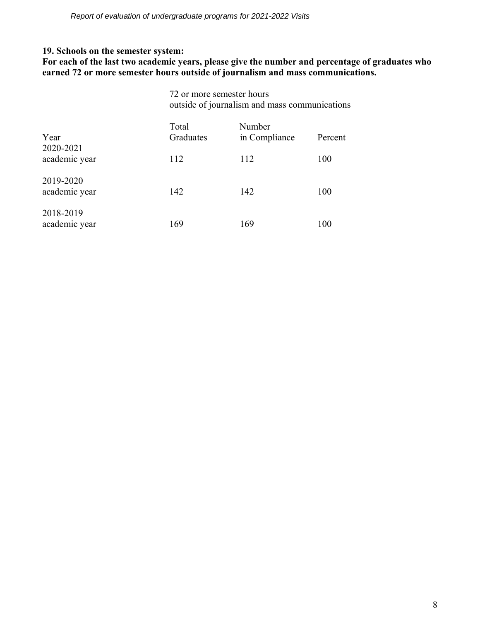## **19. Schools on the semester system:**

**For each of the last two academic years, please give the number and percentage of graduates who earned 72 or more semester hours outside of journalism and mass communications.**

|                            |                    | 72 or more semester hours<br>outside of journalism and mass communications |         |  |
|----------------------------|--------------------|----------------------------------------------------------------------------|---------|--|
| Year<br>2020-2021          | Total<br>Graduates | Number<br>in Compliance                                                    | Percent |  |
| academic year              | 112                | 112                                                                        | 100     |  |
| 2019-2020<br>academic year | 142                | 142                                                                        | 100     |  |
| 2018-2019<br>academic year | 169                | 169                                                                        | 100     |  |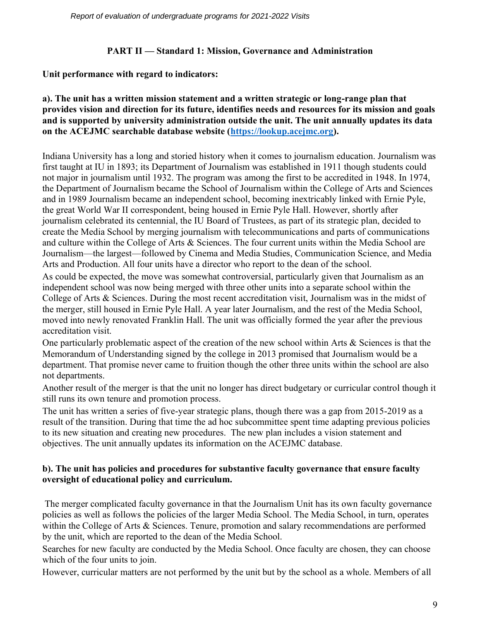# **PART II — Standard 1: Mission, Governance and Administration**

# **Unit performance with regard to indicators:**

# **a). The unit has a written mission statement and a written strategic or long-range plan that provides vision and direction for its future, identifies needs and resources for its mission and goals and is supported by university administration outside the unit. The unit annually updates its data on the ACEJMC searchable database website [\(https://lookup.acejmc.org\)](https://lookup.acejmc.org/).**

Indiana University has a long and storied history when it comes to journalism education. Journalism was first taught at IU in 1893; its Department of Journalism was established in 1911 though students could not major in journalism until 1932. The program was among the first to be accredited in 1948. In 1974, the Department of Journalism became the School of Journalism within the College of Arts and Sciences and in 1989 Journalism became an independent school, becoming inextricably linked with Ernie Pyle, the great World War II correspondent, being housed in Ernie Pyle Hall. However, shortly after journalism celebrated its centennial, the IU Board of Trustees, as part of its strategic plan, decided to create the Media School by merging journalism with telecommunications and parts of communications and culture within the College of Arts & Sciences. The four current units within the Media School are Journalism—the largest—followed by Cinema and Media Studies, Communication Science, and Media Arts and Production. All four units have a director who report to the dean of the school.

As could be expected, the move was somewhat controversial, particularly given that Journalism as an independent school was now being merged with three other units into a separate school within the College of Arts & Sciences. During the most recent accreditation visit, Journalism was in the midst of the merger, still housed in Ernie Pyle Hall. A year later Journalism, and the rest of the Media School, moved into newly renovated Franklin Hall. The unit was officially formed the year after the previous accreditation visit.

One particularly problematic aspect of the creation of the new school within Arts & Sciences is that the Memorandum of Understanding signed by the college in 2013 promised that Journalism would be a department. That promise never came to fruition though the other three units within the school are also not departments.

Another result of the merger is that the unit no longer has direct budgetary or curricular control though it still runs its own tenure and promotion process.

The unit has written a series of five-year strategic plans, though there was a gap from 2015-2019 as a result of the transition. During that time the ad hoc subcommittee spent time adapting previous policies to its new situation and creating new procedures. The new plan includes a vision statement and objectives. The unit annually updates its information on the ACEJMC database.

# **b). The unit has policies and procedures for substantive faculty governance that ensure faculty oversight of educational policy and curriculum.**

The merger complicated faculty governance in that the Journalism Unit has its own faculty governance policies as well as follows the policies of the larger Media School. The Media School, in turn, operates within the College of Arts & Sciences. Tenure, promotion and salary recommendations are performed by the unit, which are reported to the dean of the Media School.

Searches for new faculty are conducted by the Media School. Once faculty are chosen, they can choose which of the four units to join.

However, curricular matters are not performed by the unit but by the school as a whole. Members of all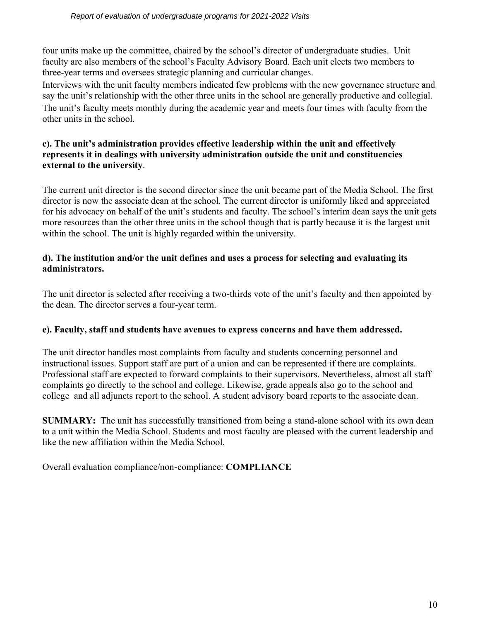four units make up the committee, chaired by the school's director of undergraduate studies. Unit faculty are also members of the school's Faculty Advisory Board. Each unit elects two members to three-year terms and oversees strategic planning and curricular changes.

Interviews with the unit faculty members indicated few problems with the new governance structure and say the unit's relationship with the other three units in the school are generally productive and collegial. The unit's faculty meets monthly during the academic year and meets four times with faculty from the other units in the school.

# **c). The unit's administration provides effective leadership within the unit and effectively represents it in dealings with university administration outside the unit and constituencies external to the university**.

The current unit director is the second director since the unit became part of the Media School. The first director is now the associate dean at the school. The current director is uniformly liked and appreciated for his advocacy on behalf of the unit's students and faculty. The school's interim dean says the unit gets more resources than the other three units in the school though that is partly because it is the largest unit within the school. The unit is highly regarded within the university.

# **d). The institution and/or the unit defines and uses a process for selecting and evaluating its administrators.**

The unit director is selected after receiving a two-thirds vote of the unit's faculty and then appointed by the dean. The director serves a four-year term.

# **e). Faculty, staff and students have avenues to express concerns and have them addressed.**

The unit director handles most complaints from faculty and students concerning personnel and instructional issues. Support staff are part of a union and can be represented if there are complaints. Professional staff are expected to forward complaints to their supervisors. Nevertheless, almost all staff complaints go directly to the school and college. Likewise, grade appeals also go to the school and college and all adjuncts report to the school. A student advisory board reports to the associate dean.

**SUMMARY:** The unit has successfully transitioned from being a stand-alone school with its own dean to a unit within the Media School. Students and most faculty are pleased with the current leadership and like the new affiliation within the Media School.

Overall evaluation compliance/non-compliance: **COMPLIANCE**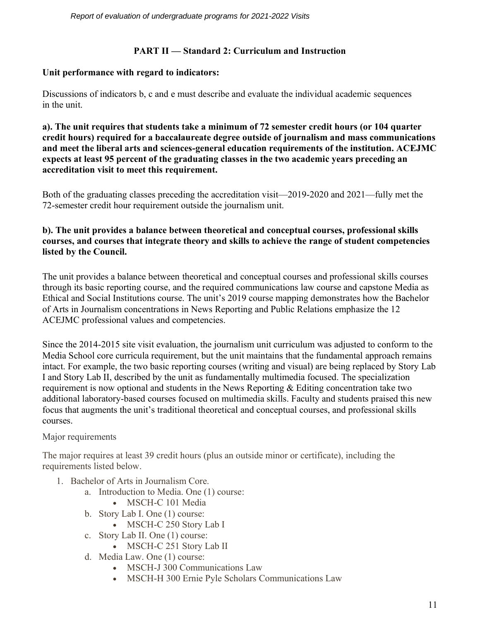# **PART II — Standard 2: Curriculum and Instruction**

# **Unit performance with regard to indicators:**

Discussions of indicators b, c and e must describe and evaluate the individual academic sequences in the unit.

**a). The unit requires that students take a minimum of 72 semester credit hours (or 104 quarter credit hours) required for a baccalaureate degree outside of journalism and mass communications and meet the liberal arts and sciences-general education requirements of the institution. ACEJMC expects at least 95 percent of the graduating classes in the two academic years preceding an accreditation visit to meet this requirement.**

Both of the graduating classes preceding the accreditation visit—2019-2020 and 2021—fully met the 72-semester credit hour requirement outside the journalism unit.

# **b). The unit provides a balance between theoretical and conceptual courses, professional skills courses, and courses that integrate theory and skills to achieve the range of student competencies listed by the Council.**

The unit provides a balance between theoretical and conceptual courses and professional skills courses through its basic reporting course, and the required communications law course and capstone Media as Ethical and Social Institutions course. The unit's 2019 course mapping demonstrates how the Bachelor of Arts in Journalism concentrations in News Reporting and Public Relations emphasize the 12 ACEJMC professional values and competencies.

Since the 2014-2015 site visit evaluation, the journalism unit curriculum was adjusted to conform to the Media School core curricula requirement, but the unit maintains that the fundamental approach remains intact. For example, the two basic reporting courses (writing and visual) are being replaced by Story Lab I and Story Lab II, described by the unit as fundamentally multimedia focused. The specialization requirement is now optional and students in the News Reporting & Editing concentration take two additional laboratory-based courses focused on multimedia skills. Faculty and students praised this new focus that augments the unit's traditional theoretical and conceptual courses, and professional skills courses.

# Major requirements

The major requires at least 39 credit hours (plus an outside minor or certificate), including the requirements listed below.

- 1. Bachelor of Arts in Journalism Core.
	- a. Introduction to Media. One (1) course:
		- MSCH-C 101 Media
	- b. Story Lab I. One (1) course:
		- MSCH-C 250 Story Lab I
	- c. Story Lab II. One (1) course:
		- MSCH-C 251 Story Lab II
	- d. Media Law. One (1) course:
		- MSCH-J 300 Communications Law
		- MSCH-H 300 Ernie Pyle Scholars Communications Law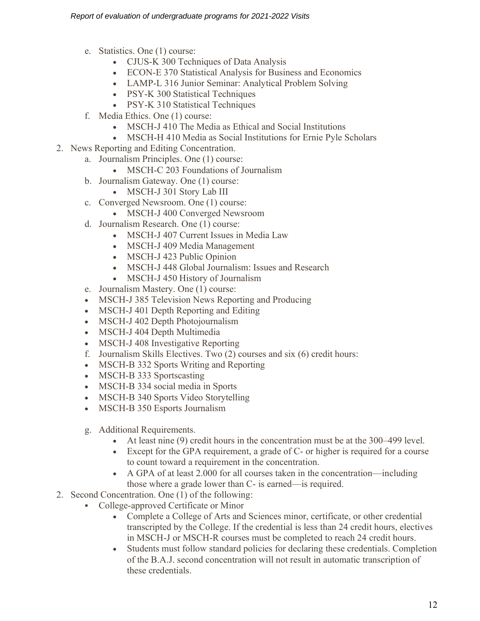- e. Statistics. One (1) course:
	- CJUS-K 300 Techniques of Data Analysis
	- ECON-E 370 Statistical Analysis for Business and Economics
	- LAMP-L 316 Junior Seminar: Analytical Problem Solving
	- PSY-K 300 Statistical Techniques
	- PSY-K 310 Statistical Techniques
- f. Media Ethics. One (1) course:
	- MSCH-J 410 The Media as Ethical and Social Institutions
	- MSCH-H 410 Media as Social Institutions for Ernie Pyle Scholars
- 2. News Reporting and Editing Concentration.
	- a. Journalism Principles. One (1) course:
		- MSCH-C 203 Foundations of Journalism
	- b. Journalism Gateway. One (1) course:
		- MSCH-J 301 Story Lab III
	- c. Converged Newsroom. One (1) course:
		- MSCH-J 400 Converged Newsroom
	- d. Journalism Research. One (1) course:
		- MSCH-J 407 Current Issues in Media Law
		- MSCH-J 409 Media Management
		- MSCH-J 423 Public Opinion
		- MSCH-J 448 Global Journalism: Issues and Research
		- MSCH-J 450 History of Journalism
	- e. Journalism Mastery. One (1) course:
	- MSCH-J 385 Television News Reporting and Producing
	- MSCH-J 401 Depth Reporting and Editing
	- MSCH-J 402 Depth Photojournalism
	- MSCH-J 404 Depth Multimedia
	- MSCH-J 408 Investigative Reporting
	- f. Journalism Skills Electives. Two (2) courses and six (6) credit hours:
	- MSCH-B 332 Sports Writing and Reporting
	- MSCH-B 333 Sportscasting
	- MSCH-B 334 social media in Sports
	- MSCH-B 340 Sports Video Storytelling
	- MSCH-B 350 Esports Journalism
	- g. Additional Requirements.
		- At least nine (9) credit hours in the concentration must be at the 300–499 level.
		- Except for the GPA requirement, a grade of C- or higher is required for a course to count toward a requirement in the concentration.
		- A GPA of at least 2.000 for all courses taken in the concentration—including those where a grade lower than C- is earned—is required.
- 2. Second Concentration. One (1) of the following:
	- College-approved Certificate or Minor
		- Complete a College of Arts and Sciences minor, certificate, or other credential transcripted by the College. If the credential is less than 24 credit hours, electives in MSCH-J or MSCH-R courses must be completed to reach 24 credit hours.
		- Students must follow standard policies for declaring these credentials. Completion of the B.A.J. second concentration will not result in automatic transcription of these credentials.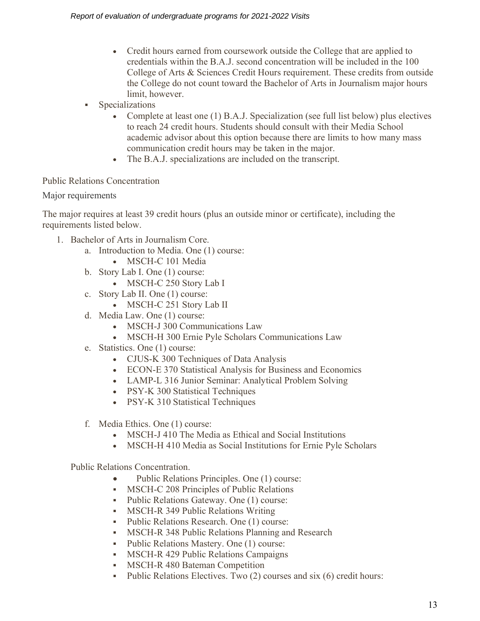- Credit hours earned from coursework outside the College that are applied to credentials within the B.A.J. second concentration will be included in the 100 College of Arts & Sciences Credit Hours requirement. These credits from outside the College do not count toward the Bachelor of Arts in Journalism major hours limit, however.
- Specializations
	- Complete at least one (1) B.A.J. Specialization (see full list below) plus electives to reach 24 credit hours. Students should consult with their Media School academic advisor about this option because there are limits to how many mass communication credit hours may be taken in the major.
	- The B.A.J. specializations are included on the transcript.

# Public Relations Concentration

Major requirements

The major requires at least 39 credit hours (plus an outside minor or certificate), including the requirements listed below.

- 1. Bachelor of Arts in Journalism Core.
	- a. Introduction to Media. One (1) course:
		- MSCH-C 101 Media
	- b. Story Lab I. One (1) course:
		- MSCH-C 250 Story Lab I
	- c. Story Lab II. One (1) course:
		- MSCH-C 251 Story Lab II
	- d. Media Law. One (1) course:
		- MSCH-J 300 Communications Law
		- MSCH-H 300 Ernie Pyle Scholars Communications Law
	- e. Statistics. One (1) course:
		- CJUS-K 300 Techniques of Data Analysis
		- ECON-E 370 Statistical Analysis for Business and Economics
		- LAMP-L 316 Junior Seminar: Analytical Problem Solving
		- PSY-K 300 Statistical Techniques
		- PSY-K 310 Statistical Techniques
	- f. Media Ethics. One (1) course:
		- MSCH-J 410 The Media as Ethical and Social Institutions
		- MSCH-H 410 Media as Social Institutions for Ernie Pyle Scholars

Public Relations Concentration.

- Public Relations Principles. One (1) course:
- **MSCH-C 208 Principles of Public Relations**
- Public Relations Gateway. One (1) course:
- **MSCH-R 349 Public Relations Writing**
- Public Relations Research. One (1) course:
- **MSCH-R 348 Public Relations Planning and Research**<br>• Public Relations Mastery, One (1) course:
- Public Relations Mastery. One (1) course:
- **MSCH-R 429 Public Relations Campaigns**
- **MSCH-R 480 Bateman Competition**
- Public Relations Electives. Two (2) courses and six (6) credit hours: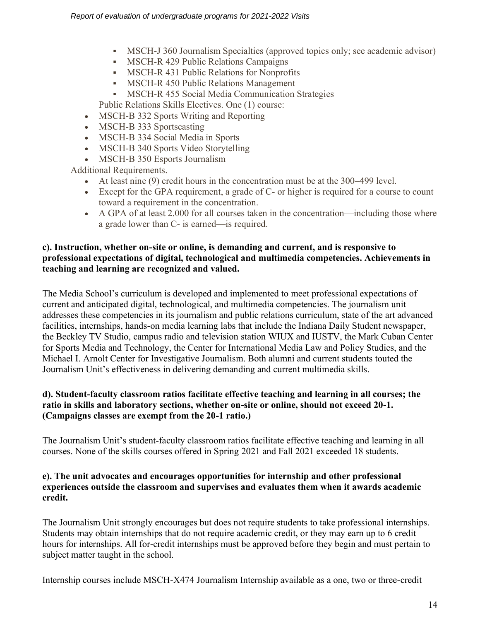- MSCH-J 360 Journalism Specialties (approved topics only; see academic advisor)
- MSCH-R 429 Public Relations Campaigns
- **MSCH-R 431 Public Relations for Nonprofits**
- **MSCH-R 450 Public Relations Management**
- **EXECUTE:** MSCH-R 455 Social Media Communication Strategies

Public Relations Skills Electives. One (1) course:

- MSCH-B 332 Sports Writing and Reporting
- MSCH-B 333 Sportscasting
- MSCH-B 334 Social Media in Sports
- MSCH-B 340 Sports Video Storytelling
- MSCH-B 350 Esports Journalism

Additional Requirements.

- At least nine (9) credit hours in the concentration must be at the 300–499 level.
- Except for the GPA requirement, a grade of C- or higher is required for a course to count toward a requirement in the concentration.
- A GPA of at least 2.000 for all courses taken in the concentration—including those where a grade lower than C- is earned—is required.

# **c). Instruction, whether on-site or online, is demanding and current, and is responsive to professional expectations of digital, technological and multimedia competencies. Achievements in teaching and learning are recognized and valued.**

The Media School's curriculum is developed and implemented to meet professional expectations of current and anticipated digital, technological, and multimedia competencies. The journalism unit addresses these competencies in its journalism and public relations curriculum, state of the art advanced facilities, internships, hands-on media learning labs that include the Indiana Daily Student newspaper, the Beckley TV Studio, campus radio and television station WIUX and IUSTV, the Mark Cuban Center for Sports Media and Technology, the Center for International Media Law and Policy Studies, and the Michael I. Arnolt Center for Investigative Journalism. Both alumni and current students touted the Journalism Unit's effectiveness in delivering demanding and current multimedia skills.

# **d). Student-faculty classroom ratios facilitate effective teaching and learning in all courses; the ratio in skills and laboratory sections, whether on-site or online, should not exceed 20-1. (Campaigns classes are exempt from the 20-1 ratio.)**

The Journalism Unit's student-faculty classroom ratios facilitate effective teaching and learning in all courses. None of the skills courses offered in Spring 2021 and Fall 2021 exceeded 18 students.

# **e). The unit advocates and encourages opportunities for internship and other professional experiences outside the classroom and supervises and evaluates them when it awards academic credit.**

The Journalism Unit strongly encourages but does not require students to take professional internships. Students may obtain internships that do not require academic credit, or they may earn up to 6 credit hours for internships. All for-credit internships must be approved before they begin and must pertain to subject matter taught in the school.

Internship courses include MSCH-X474 Journalism Internship available as a one, two or three-credit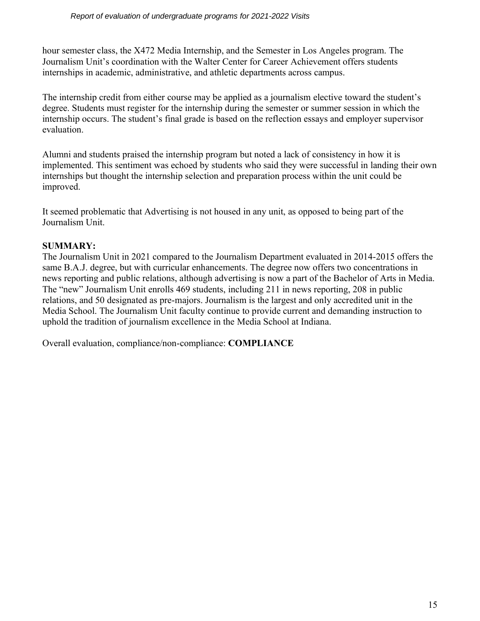hour semester class, the X472 Media Internship, and the Semester in Los Angeles program. The Journalism Unit's coordination with the Walter Center for Career Achievement offers students internships in academic, administrative, and athletic departments across campus.

The internship credit from either course may be applied as a journalism elective toward the student's degree. Students must register for the internship during the semester or summer session in which the internship occurs. The student's final grade is based on the reflection essays and employer supervisor evaluation.

Alumni and students praised the internship program but noted a lack of consistency in how it is implemented. This sentiment was echoed by students who said they were successful in landing their own internships but thought the internship selection and preparation process within the unit could be improved.

It seemed problematic that Advertising is not housed in any unit, as opposed to being part of the Journalism Unit.

# **SUMMARY:**

The Journalism Unit in 2021 compared to the Journalism Department evaluated in 2014-2015 offers the same B.A.J. degree, but with curricular enhancements. The degree now offers two concentrations in news reporting and public relations, although advertising is now a part of the Bachelor of Arts in Media. The "new" Journalism Unit enrolls 469 students, including 211 in news reporting, 208 in public relations, and 50 designated as pre-majors. Journalism is the largest and only accredited unit in the Media School. The Journalism Unit faculty continue to provide current and demanding instruction to uphold the tradition of journalism excellence in the Media School at Indiana.

Overall evaluation, compliance/non-compliance: **COMPLIANCE**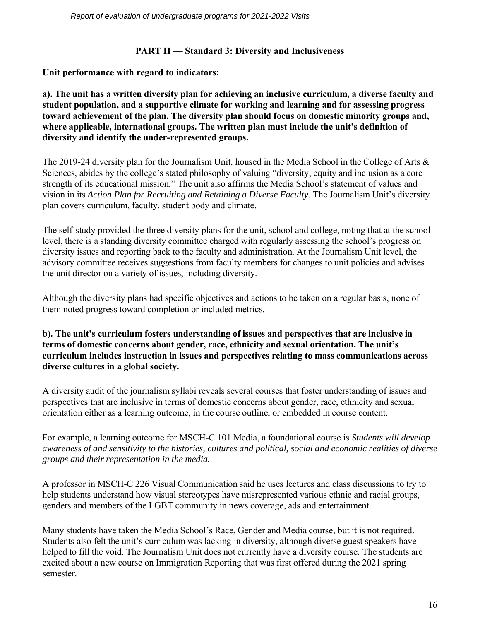# **PART II — Standard 3: Diversity and Inclusiveness**

**Unit performance with regard to indicators:**

**a). The unit has a written diversity plan for achieving an inclusive curriculum, a diverse faculty and student population, and a supportive climate for working and learning and for assessing progress toward achievement of the plan. The diversity plan should focus on domestic minority groups and, where applicable, international groups. The written plan must include the unit's definition of diversity and identify the under-represented groups.**

The 2019-24 diversity plan for the Journalism Unit, housed in the Media School in the College of Arts & Sciences, abides by the college's stated philosophy of valuing "diversity, equity and inclusion as a core strength of its educational mission." The unit also affirms the Media School's statement of values and vision in its *Action Plan for Recruiting and Retaining a Diverse Faculty*. The Journalism Unit's diversity plan covers curriculum, faculty, student body and climate.

The self-study provided the three diversity plans for the unit, school and college, noting that at the school level, there is a standing diversity committee charged with regularly assessing the school's progress on diversity issues and reporting back to the faculty and administration. At the Journalism Unit level, the advisory committee receives suggestions from faculty members for changes to unit policies and advises the unit director on a variety of issues, including diversity.

Although the diversity plans had specific objectives and actions to be taken on a regular basis, none of them noted progress toward completion or included metrics.

**b). The unit's curriculum fosters understanding of issues and perspectives that are inclusive in terms of domestic concerns about gender, race, ethnicity and sexual orientation. The unit's curriculum includes instruction in issues and perspectives relating to mass communications across diverse cultures in a global society.**

A diversity audit of the journalism syllabi reveals several courses that foster understanding of issues and perspectives that are inclusive in terms of domestic concerns about gender, race, ethnicity and sexual orientation either as a learning outcome, in the course outline, or embedded in course content.

For example, a learning outcome for MSCH-C 101 Media, a foundational course is *Students will develop awareness of and sensitivity to the histories, cultures and political, social and economic realities of diverse groups and their representation in the media.*

A professor in MSCH-C 226 Visual Communication said he uses lectures and class discussions to try to help students understand how visual stereotypes have misrepresented various ethnic and racial groups, genders and members of the LGBT community in news coverage, ads and entertainment.

Many students have taken the Media School's Race, Gender and Media course, but it is not required. Students also felt the unit's curriculum was lacking in diversity, although diverse guest speakers have helped to fill the void. The Journalism Unit does not currently have a diversity course. The students are excited about a new course on Immigration Reporting that was first offered during the 2021 spring semester.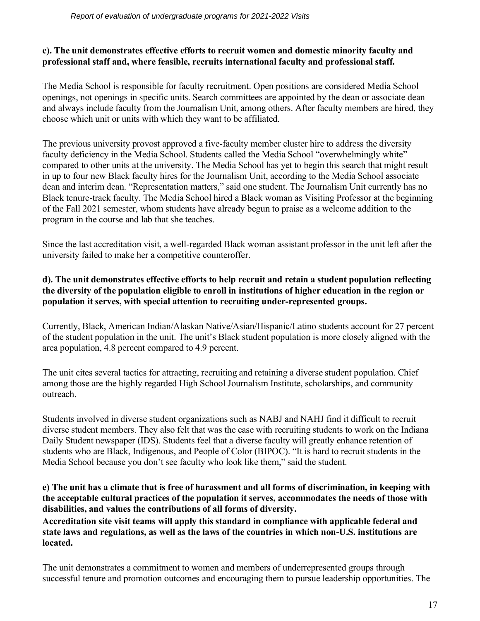# **c). The unit demonstrates effective efforts to recruit women and domestic minority faculty and professional staff and, where feasible, recruits international faculty and professional staff.**

The Media School is responsible for faculty recruitment. Open positions are considered Media School openings, not openings in specific units. Search committees are appointed by the dean or associate dean and always include faculty from the Journalism Unit, among others. After faculty members are hired, they choose which unit or units with which they want to be affiliated.

The previous university provost approved a five-faculty member cluster hire to address the diversity faculty deficiency in the Media School. Students called the Media School "overwhelmingly white" compared to other units at the university. The Media School has yet to begin this search that might result in up to four new Black faculty hires for the Journalism Unit, according to the Media School associate dean and interim dean. "Representation matters," said one student. The Journalism Unit currently has no Black tenure-track faculty. The Media School hired a Black woman as Visiting Professor at the beginning of the Fall 2021 semester, whom students have already begun to praise as a welcome addition to the program in the course and lab that she teaches.

Since the last accreditation visit, a well-regarded Black woman assistant professor in the unit left after the university failed to make her a competitive counteroffer.

# **d). The unit demonstrates effective efforts to help recruit and retain a student population reflecting the diversity of the population eligible to enroll in institutions of higher education in the region or population it serves, with special attention to recruiting under-represented groups.**

Currently, Black, American Indian/Alaskan Native/Asian/Hispanic/Latino students account for 27 percent of the student population in the unit. The unit's Black student population is more closely aligned with the area population, 4.8 percent compared to 4.9 percent.

The unit cites several tactics for attracting, recruiting and retaining a diverse student population. Chief among those are the highly regarded High School Journalism Institute, scholarships, and community outreach.

Students involved in diverse student organizations such as NABJ and NAHJ find it difficult to recruit diverse student members. They also felt that was the case with recruiting students to work on the Indiana Daily Student newspaper (IDS). Students feel that a diverse faculty will greatly enhance retention of students who are Black, Indigenous, and People of Color (BIPOC). "It is hard to recruit students in the Media School because you don't see faculty who look like them," said the student.

# **e) The unit has a climate that is free of harassment and all forms of discrimination, in keeping with the acceptable cultural practices of the population it serves, accommodates the needs of those with disabilities, and values the contributions of all forms of diversity.**

**Accreditation site visit teams will apply this standard in compliance with applicable federal and state laws and regulations, as well as the laws of the countries in which non-U.S. institutions are located.**

The unit demonstrates a commitment to women and members of underrepresented groups through successful tenure and promotion outcomes and encouraging them to pursue leadership opportunities. The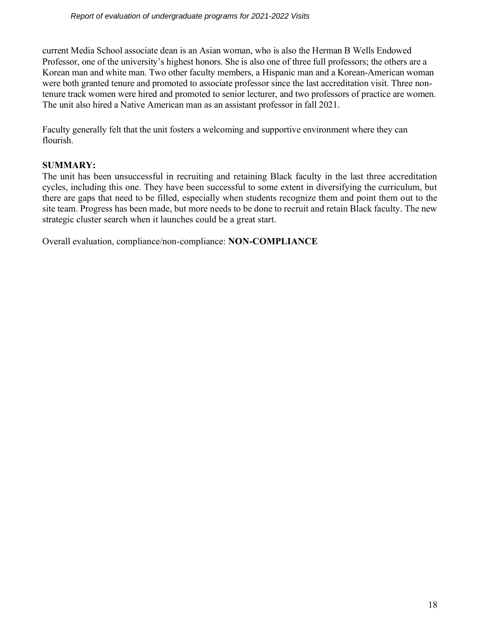current Media School associate dean is an Asian woman, who is also the Herman B Wells Endowed Professor, one of the university's highest honors. She is also one of three full professors; the others are a Korean man and white man. Two other faculty members, a Hispanic man and a Korean-American woman were both granted tenure and promoted to associate professor since the last accreditation visit. Three nontenure track women were hired and promoted to senior lecturer, and two professors of practice are women. The unit also hired a Native American man as an assistant professor in fall 2021.

Faculty generally felt that the unit fosters a welcoming and supportive environment where they can flourish.

# **SUMMARY:**

The unit has been unsuccessful in recruiting and retaining Black faculty in the last three accreditation cycles, including this one. They have been successful to some extent in diversifying the curriculum, but there are gaps that need to be filled, especially when students recognize them and point them out to the site team. Progress has been made, but more needs to be done to recruit and retain Black faculty. The new strategic cluster search when it launches could be a great start.

Overall evaluation, compliance/non-compliance: **NON-COMPLIANCE**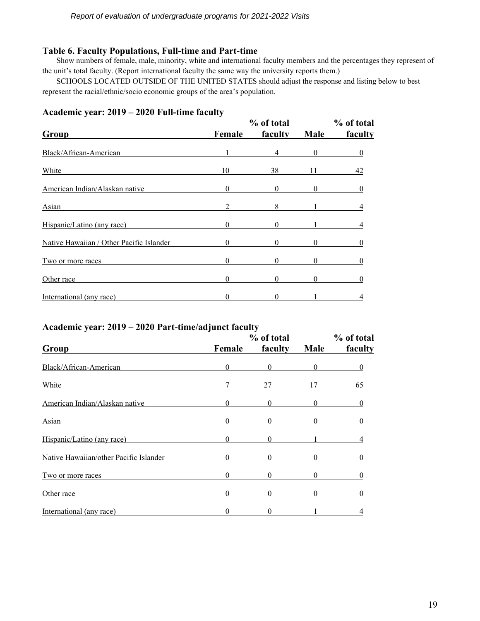#### **Table 6. Faculty Populations, Full-time and Part-time**

Show numbers of female, male, minority, white and international faculty members and the percentages they represent of the unit's total faculty. (Report international faculty the same way the university reports them.)

SCHOOLS LOCATED OUTSIDE OF THE UNITED STATES should adjust the response and listing below to best represent the racial/ethnic/socio economic groups of the area's population.

| Group                                    | Female   | % of total<br>faculty | Male     | % of total<br>faculty |
|------------------------------------------|----------|-----------------------|----------|-----------------------|
| Black/African-American                   |          | 4                     | $\theta$ |                       |
| White                                    | 10       | 38                    |          | 42                    |
| American Indian/Alaskan native           | $\Omega$ |                       |          |                       |
| Asian                                    | 2        | 8                     |          |                       |
| Hispanic/Latino (any race)               | 0        |                       |          |                       |
| Native Hawaiian / Other Pacific Islander |          |                       | 0        |                       |
| Two or more races                        | $\theta$ | 0                     | 0        |                       |
| Other race                               | $\Omega$ |                       |          |                       |
| International (any race)                 |          |                       |          |                       |

#### **Academic year: 2019 – 2020 Full-time faculty**

# **Academic year: 2019 – 2020 Part-time/adjunct faculty**

| Group                                  |          | % of total |          |         |
|----------------------------------------|----------|------------|----------|---------|
|                                        | Female   | faculty    | Male     | faculty |
| Black/African-American                 | $\Omega$ | $\Omega$   | 0        |         |
| White                                  |          | 27         |          | 65      |
| American Indian/Alaskan native         | $\Omega$ | $\Omega$   | $\theta$ |         |
| Asian                                  |          |            |          |         |
| Hispanic/Latino (any race)             |          |            |          |         |
| Native Hawaiian/other Pacific Islander | $\Omega$ | 0          | 0        |         |
| Two or more races                      |          |            |          |         |
| Other race                             | 0        | 0          |          |         |
| International (any race)               |          |            |          |         |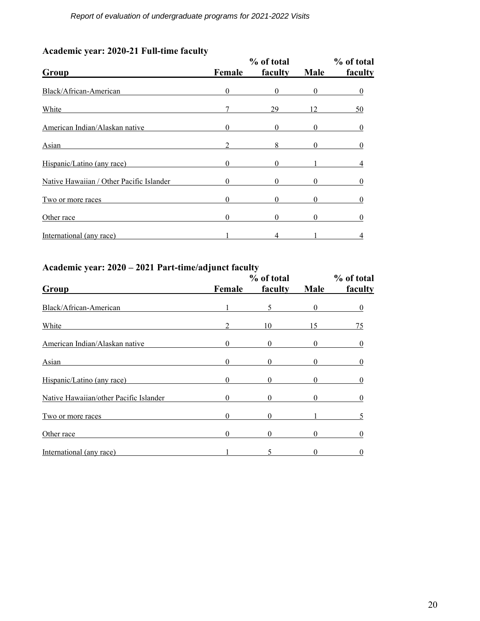| Group                                    | % of total | % of total   |             |         |
|------------------------------------------|------------|--------------|-------------|---------|
|                                          | Female     | faculty      | <b>Male</b> | faculty |
| Black/African-American                   | $\Omega$   | $\Omega$     | $\Omega$    |         |
| White                                    |            | 29           | 12          | 50      |
| American Indian/Alaskan native           | $\Omega$   | $\Omega$     | 0           |         |
| Asian                                    |            | 8            | $^{(1)}$    |         |
| Hispanic/Latino (any race)               | $\Omega$   | $\mathbf{0}$ |             |         |
| Native Hawaiian / Other Pacific Islander | 0          | $\Omega$     | 0           |         |
| Two or more races                        | $\Omega$   | $\mathbf{0}$ | 0           |         |
| Other race                               | 0          | $\theta$     | 0           |         |
| International (any race)                 |            |              |             |         |

# **Academic year: 2020-21 Full-time faculty**

# **Academic year: 2020 – 2021 Part-time/adjunct faculty**

| Group                                  |          | % of total |              |         |
|----------------------------------------|----------|------------|--------------|---------|
|                                        | Female   | faculty    | Male         | faculty |
| Black/African-American                 |          |            | $\theta$     |         |
| White                                  |          | 10         | 15           | 75      |
| American Indian/Alaskan native         | $\Omega$ | $\Omega$   | 0            |         |
| Asian                                  |          |            |              |         |
| Hispanic/Latino (any race)             |          |            |              |         |
| Native Hawaiian/other Pacific Islander | $\Omega$ | 0          | $\mathbf{0}$ |         |
| Two or more races                      |          |            |              |         |
| Other race                             | 0        |            |              |         |
| International (any race)               |          |            |              |         |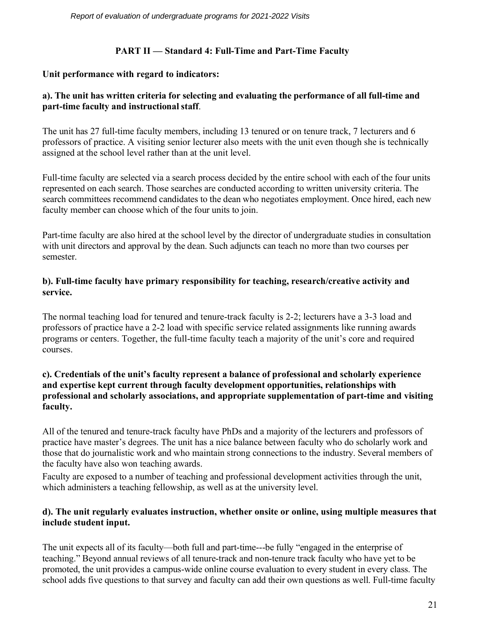# **PART II — Standard 4: Full-Time and Part-Time Faculty**

# **Unit performance with regard to indicators:**

# **a). The unit has written criteria for selecting and evaluating the performance of all full-time and part-time faculty and instructional staff**.

The unit has 27 full-time faculty members, including 13 tenured or on tenure track, 7 lecturers and 6 professors of practice. A visiting senior lecturer also meets with the unit even though she is technically assigned at the school level rather than at the unit level.

Full-time faculty are selected via a search process decided by the entire school with each of the four units represented on each search. Those searches are conducted according to written university criteria. The search committees recommend candidates to the dean who negotiates employment. Once hired, each new faculty member can choose which of the four units to join.

Part-time faculty are also hired at the school level by the director of undergraduate studies in consultation with unit directors and approval by the dean. Such adjuncts can teach no more than two courses per semester.

# **b). Full-time faculty have primary responsibility for teaching, research/creative activity and service.**

The normal teaching load for tenured and tenure-track faculty is 2-2; lecturers have a 3-3 load and professors of practice have a 2-2 load with specific service related assignments like running awards programs or centers. Together, the full-time faculty teach a majority of the unit's core and required courses.

# **c). Credentials of the unit's faculty represent a balance of professional and scholarly experience and expertise kept current through faculty development opportunities, relationships with professional and scholarly associations, and appropriate supplementation of part-time and visiting faculty.**

All of the tenured and tenure-track faculty have PhDs and a majority of the lecturers and professors of practice have master's degrees. The unit has a nice balance between faculty who do scholarly work and those that do journalistic work and who maintain strong connections to the industry. Several members of the faculty have also won teaching awards.

Faculty are exposed to a number of teaching and professional development activities through the unit, which administers a teaching fellowship, as well as at the university level.

# **d). The unit regularly evaluates instruction, whether onsite or online, using multiple measures that include student input.**

The unit expects all of its faculty—both full and part-time---be fully "engaged in the enterprise of teaching." Beyond annual reviews of all tenure-track and non-tenure track faculty who have yet to be promoted, the unit provides a campus-wide online course evaluation to every student in every class. The school adds five questions to that survey and faculty can add their own questions as well. Full-time faculty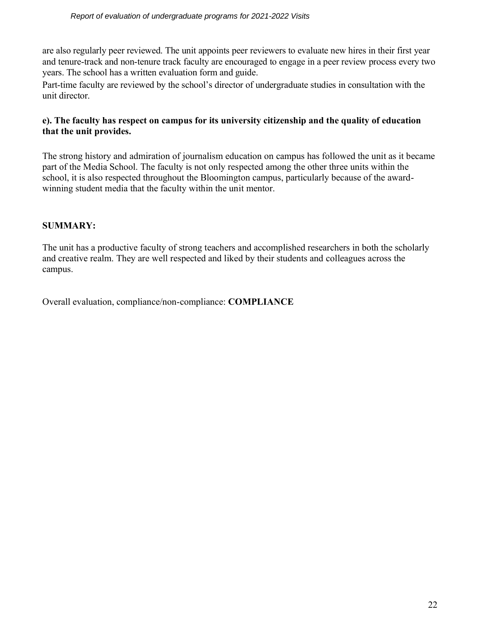are also regularly peer reviewed. The unit appoints peer reviewers to evaluate new hires in their first year and tenure-track and non-tenure track faculty are encouraged to engage in a peer review process every two years. The school has a written evaluation form and guide.

Part-time faculty are reviewed by the school's director of undergraduate studies in consultation with the unit director.

# **e). The faculty has respect on campus for its university citizenship and the quality of education that the unit provides.**

The strong history and admiration of journalism education on campus has followed the unit as it became part of the Media School. The faculty is not only respected among the other three units within the school, it is also respected throughout the Bloomington campus, particularly because of the awardwinning student media that the faculty within the unit mentor.

# **SUMMARY:**

The unit has a productive faculty of strong teachers and accomplished researchers in both the scholarly and creative realm. They are well respected and liked by their students and colleagues across the campus.

Overall evaluation, compliance/non-compliance: **COMPLIANCE**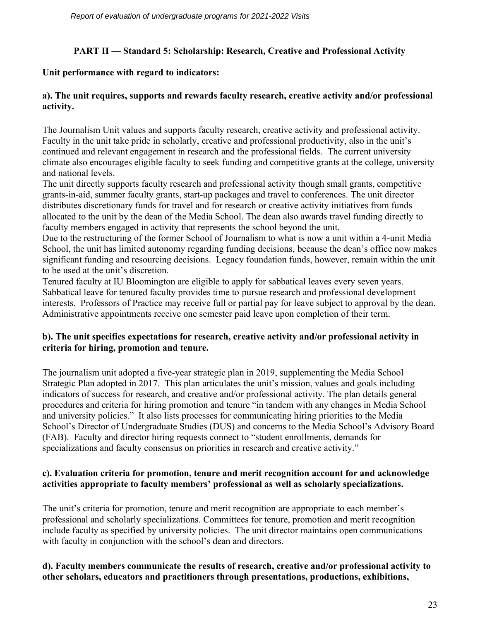# **PART II — Standard 5: Scholarship: Research, Creative and Professional Activity**

# **Unit performance with regard to indicators:**

# **a). The unit requires, supports and rewards faculty research, creative activity and/or professional activity.**

The Journalism Unit values and supports faculty research, creative activity and professional activity. Faculty in the unit take pride in scholarly, creative and professional productivity, also in the unit's continued and relevant engagement in research and the professional fields. The current university climate also encourages eligible faculty to seek funding and competitive grants at the college, university and national levels.

The unit directly supports faculty research and professional activity though small grants, competitive grants-in-aid, summer faculty grants, start-up packages and travel to conferences. The unit director distributes discretionary funds for travel and for research or creative activity initiatives from funds allocated to the unit by the dean of the Media School. The dean also awards travel funding directly to faculty members engaged in activity that represents the school beyond the unit.

Due to the restructuring of the former School of Journalism to what is now a unit within a 4-unit Media School, the unit has limited autonomy regarding funding decisions, because the dean's office now makes significant funding and resourcing decisions. Legacy foundation funds, however, remain within the unit to be used at the unit's discretion.

Tenured faculty at IU Bloomington are eligible to apply for sabbatical leaves every seven years. Sabbatical leave for tenured faculty provides time to pursue research and professional development interests. Professors of Practice may receive full or partial pay for leave subject to approval by the dean. Administrative appointments receive one semester paid leave upon completion of their term.

# **b). The unit specifies expectations for research, creative activity and/or professional activity in criteria for hiring, promotion and tenure.**

The journalism unit adopted a five-year strategic plan in 2019, supplementing the Media School Strategic Plan adopted in 2017. This plan articulates the unit's mission, values and goals including indicators of success for research, and creative and/or professional activity. The plan details general procedures and criteria for hiring promotion and tenure "in tandem with any changes in Media School and university policies." It also lists processes for communicating hiring priorities to the Media School's Director of Undergraduate Studies (DUS) and concerns to the Media School's Advisory Board (FAB). Faculty and director hiring requests connect to "student enrollments, demands for specializations and faculty consensus on priorities in research and creative activity."

# **c). Evaluation criteria for promotion, tenure and merit recognition account for and acknowledge activities appropriate to faculty members' professional as well as scholarly specializations.**

The unit's criteria for promotion, tenure and merit recognition are appropriate to each member's professional and scholarly specializations. Committees for tenure, promotion and merit recognition include faculty as specified by university policies. The unit director maintains open communications with faculty in conjunction with the school's dean and directors.

# **d). Faculty members communicate the results of research, creative and/or professional activity to other scholars, educators and practitioners through presentations, productions, exhibitions,**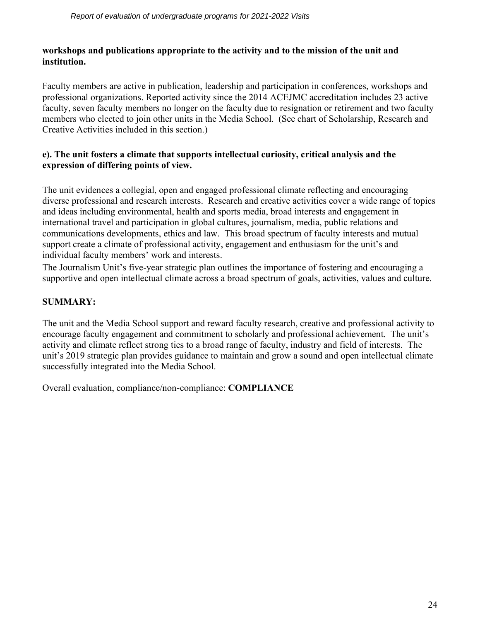# **workshops and publications appropriate to the activity and to the mission of the unit and institution.**

Faculty members are active in publication, leadership and participation in conferences, workshops and professional organizations. Reported activity since the 2014 ACEJMC accreditation includes 23 active faculty, seven faculty members no longer on the faculty due to resignation or retirement and two faculty members who elected to join other units in the Media School. (See chart of Scholarship, Research and Creative Activities included in this section.)

# **e). The unit fosters a climate that supports intellectual curiosity, critical analysis and the expression of differing points of view.**

The unit evidences a collegial, open and engaged professional climate reflecting and encouraging diverse professional and research interests. Research and creative activities cover a wide range of topics and ideas including environmental, health and sports media, broad interests and engagement in international travel and participation in global cultures, journalism, media, public relations and communications developments, ethics and law. This broad spectrum of faculty interests and mutual support create a climate of professional activity, engagement and enthusiasm for the unit's and individual faculty members' work and interests.

The Journalism Unit's five-year strategic plan outlines the importance of fostering and encouraging a supportive and open intellectual climate across a broad spectrum of goals, activities, values and culture.

# **SUMMARY:**

The unit and the Media School support and reward faculty research, creative and professional activity to encourage faculty engagement and commitment to scholarly and professional achievement. The unit's activity and climate reflect strong ties to a broad range of faculty, industry and field of interests. The unit's 2019 strategic plan provides guidance to maintain and grow a sound and open intellectual climate successfully integrated into the Media School.

Overall evaluation, compliance/non-compliance: **COMPLIANCE**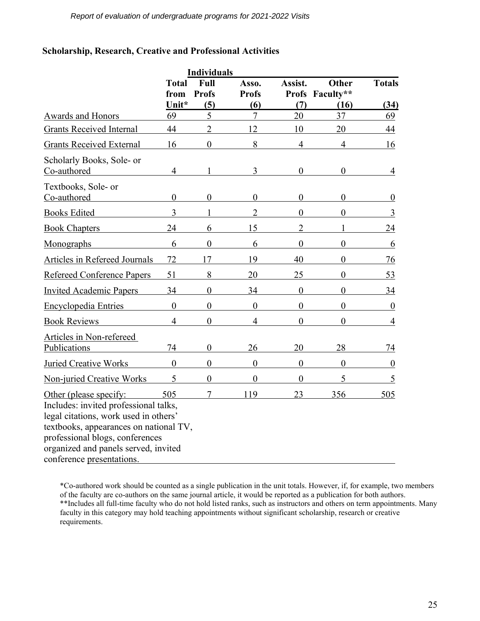# **Scholarship, Research, Creative and Professional Activities**

| <b>Individuals</b>                                                                                                                                                                                                            |                  |                |                  |                  |                  |                  |
|-------------------------------------------------------------------------------------------------------------------------------------------------------------------------------------------------------------------------------|------------------|----------------|------------------|------------------|------------------|------------------|
|                                                                                                                                                                                                                               | <b>Total</b>     | Full           | Asso.            | Assist.          | <b>Other</b>     | <b>Totals</b>    |
|                                                                                                                                                                                                                               | from             | <b>Profs</b>   | <b>Profs</b>     |                  | Profs Faculty**  |                  |
|                                                                                                                                                                                                                               | Unit*            | (5)            | (6)              | (7)              | (16)             | (34)             |
| <b>Awards and Honors</b>                                                                                                                                                                                                      | 69               | 5              | $\overline{7}$   | 20               | 37               | 69               |
| <b>Grants Received Internal</b>                                                                                                                                                                                               | 44               | $\overline{2}$ | 12               | 10               | 20               | 44               |
| <b>Grants Received External</b>                                                                                                                                                                                               | 16               | $\overline{0}$ | 8                | $\overline{4}$   | $\overline{4}$   | 16               |
| Scholarly Books, Sole- or<br>Co-authored                                                                                                                                                                                      | $\overline{4}$   |                | 3                | $\boldsymbol{0}$ | $\overline{0}$   | $\overline{4}$   |
| Textbooks, Sole- or<br>Co-authored                                                                                                                                                                                            | $\boldsymbol{0}$ | $\theta$       | $\boldsymbol{0}$ | $\boldsymbol{0}$ | $\boldsymbol{0}$ | $\boldsymbol{0}$ |
| <b>Books Edited</b>                                                                                                                                                                                                           | 3                |                | $\overline{2}$   | $\theta$         | $\theta$         | 3                |
| <b>Book Chapters</b>                                                                                                                                                                                                          | 24               | 6              | 15               | $\overline{2}$   |                  | 24               |
| Monographs                                                                                                                                                                                                                    | 6                | $\theta$       | 6                | $\theta$         | 0                | 6                |
| <b>Articles in Refereed Journals</b>                                                                                                                                                                                          | 72               | 17             | 19               | 40               | 0                | 76               |
| <b>Refereed Conference Papers</b>                                                                                                                                                                                             | 51               | 8              | 20               | 25               | $\theta$         | 53               |
| <b>Invited Academic Papers</b>                                                                                                                                                                                                | 34               | $\overline{0}$ | 34               | $\mathbf{0}$     | $\overline{0}$   | 34               |
| Encyclopedia Entries                                                                                                                                                                                                          | $\overline{0}$   | $\overline{0}$ | $\overline{0}$   | $\overline{0}$   | $\theta$         | $\boldsymbol{0}$ |
| <b>Book Reviews</b>                                                                                                                                                                                                           | $\overline{4}$   | $\theta$       | $\overline{4}$   | $\overline{0}$   | $\theta$         | $\overline{4}$   |
| Articles in Non-refereed<br>Publications                                                                                                                                                                                      | 74               | $\theta$       | 26               | 20               | 28               | 74               |
| <b>Juried Creative Works</b>                                                                                                                                                                                                  | $\theta$         | $\theta$       | $\mathbf{0}$     | $\mathbf{0}$     | $\overline{0}$   | $\boldsymbol{0}$ |
| <b>Non-juried Creative Works</b>                                                                                                                                                                                              | 5                | $\overline{0}$ | $\overline{0}$   | $\boldsymbol{0}$ | 5                | 5                |
| Other (please specify:<br>Includes: invited professional talks,<br>legal citations, work used in others'<br>textbooks, appearances on national TV,<br>professional blogs, conferences<br>organized and panels served, invited | 505              |                | 119              | 23               | 356              | 505              |
| conference presentations.                                                                                                                                                                                                     |                  |                |                  |                  |                  |                  |

\*Co-authored work should be counted as a single publication in the unit totals. However, if, for example, two members of the faculty are co-authors on the same journal article, it would be reported as a publication for both authors. \*\*Includes all full-time faculty who do not hold listed ranks, such as instructors and others on term appointments. Many faculty in this category may hold teaching appointments without significant scholarship, research or creative requirements.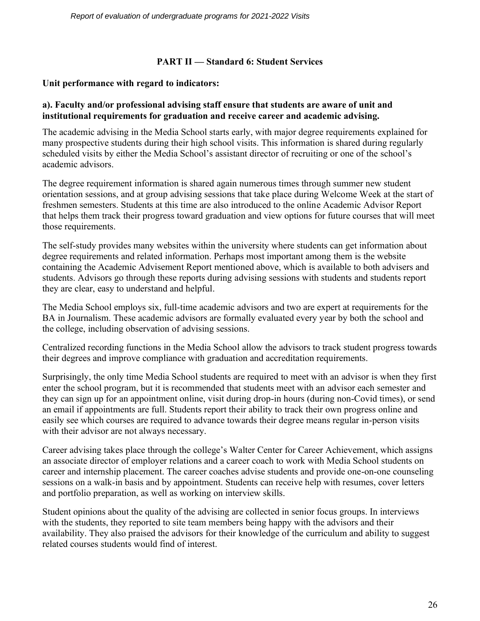# **PART II — Standard 6: Student Services**

# **Unit performance with regard to indicators:**

# **a). Faculty and/or professional advising staff ensure that students are aware of unit and institutional requirements for graduation and receive career and academic advising.**

The academic advising in the Media School starts early, with major degree requirements explained for many prospective students during their high school visits. This information is shared during regularly scheduled visits by either the Media School's assistant director of recruiting or one of the school's academic advisors.

The degree requirement information is shared again numerous times through summer new student orientation sessions, and at group advising sessions that take place during Welcome Week at the start of freshmen semesters. Students at this time are also introduced to the online Academic Advisor Report that helps them track their progress toward graduation and view options for future courses that will meet those requirements.

The self-study provides many websites within the university where students can get information about degree requirements and related information. Perhaps most important among them is the website containing the Academic Advisement Report mentioned above, which is available to both advisers and students. Advisors go through these reports during advising sessions with students and students report they are clear, easy to understand and helpful.

The Media School employs six, full-time academic advisors and two are expert at requirements for the BA in Journalism. These academic advisors are formally evaluated every year by both the school and the college, including observation of advising sessions.

Centralized recording functions in the Media School allow the advisors to track student progress towards their degrees and improve compliance with graduation and accreditation requirements.

Surprisingly, the only time Media School students are required to meet with an advisor is when they first enter the school program, but it is recommended that students meet with an advisor each semester and they can sign up for an appointment online, visit during drop-in hours (during non-Covid times), or send an email if appointments are full. Students report their ability to track their own progress online and easily see which courses are required to advance towards their degree means regular in-person visits with their advisor are not always necessary.

Career advising takes place through the college's Walter Center for Career Achievement, which assigns an associate director of employer relations and a career coach to work with Media School students on career and internship placement. The career coaches advise students and provide one-on-one counseling sessions on a walk-in basis and by appointment. Students can receive help with resumes, cover letters and portfolio preparation, as well as working on interview skills.

Student opinions about the quality of the advising are collected in senior focus groups. In interviews with the students, they reported to site team members being happy with the advisors and their availability. They also praised the advisors for their knowledge of the curriculum and ability to suggest related courses students would find of interest.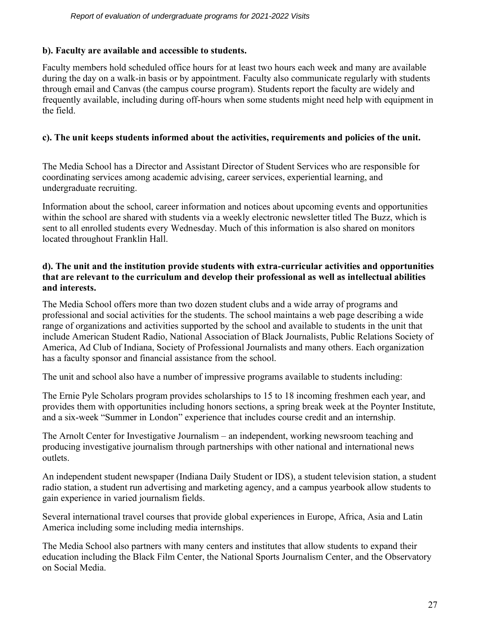# **b). Faculty are available and accessible to students.**

Faculty members hold scheduled office hours for at least two hours each week and many are available during the day on a walk-in basis or by appointment. Faculty also communicate regularly with students through email and Canvas (the campus course program). Students report the faculty are widely and frequently available, including during off-hours when some students might need help with equipment in the field.

# **c). The unit keeps students informed about the activities, requirements and policies of the unit.**

The Media School has a Director and Assistant Director of Student Services who are responsible for coordinating services among academic advising, career services, experiential learning, and undergraduate recruiting.

Information about the school, career information and notices about upcoming events and opportunities within the school are shared with students via a weekly electronic newsletter titled The Buzz, which is sent to all enrolled students every Wednesday. Much of this information is also shared on monitors located throughout Franklin Hall.

# **d). The unit and the institution provide students with extra-curricular activities and opportunities that are relevant to the curriculum and develop their professional as well as intellectual abilities and interests.**

The Media School offers more than two dozen student clubs and a wide array of programs and professional and social activities for the students. The school maintains a web page describing a wide range of organizations and activities supported by the school and available to students in the unit that include American Student Radio, National Association of Black Journalists, Public Relations Society of America, Ad Club of Indiana, Society of Professional Journalists and many others. Each organization has a faculty sponsor and financial assistance from the school.

The unit and school also have a number of impressive programs available to students including:

The Ernie Pyle Scholars program provides scholarships to 15 to 18 incoming freshmen each year, and provides them with opportunities including honors sections, a spring break week at the Poynter Institute, and a six-week "Summer in London" experience that includes course credit and an internship.

The Arnolt Center for Investigative Journalism – an independent, working newsroom teaching and producing investigative journalism through partnerships with other national and international news outlets.

An independent student newspaper (Indiana Daily Student or IDS), a student television station, a student radio station, a student run advertising and marketing agency, and a campus yearbook allow students to gain experience in varied journalism fields.

Several international travel courses that provide global experiences in Europe, Africa, Asia and Latin America including some including media internships.

The Media School also partners with many centers and institutes that allow students to expand their education including the Black Film Center, the National Sports Journalism Center, and the Observatory on Social Media.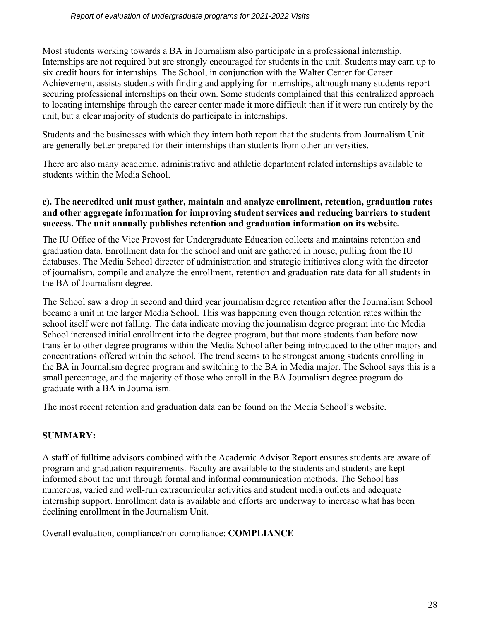Most students working towards a BA in Journalism also participate in a professional internship. Internships are not required but are strongly encouraged for students in the unit. Students may earn up to six credit hours for internships. The School, in conjunction with the Walter Center for Career Achievement, assists students with finding and applying for internships, although many students report securing professional internships on their own. Some students complained that this centralized approach to locating internships through the career center made it more difficult than if it were run entirely by the unit, but a clear majority of students do participate in internships.

Students and the businesses with which they intern both report that the students from Journalism Unit are generally better prepared for their internships than students from other universities.

There are also many academic, administrative and athletic department related internships available to students within the Media School.

# **e). The accredited unit must gather, maintain and analyze enrollment, retention, graduation rates and other aggregate information for improving student services and reducing barriers to student success. The unit annually publishes retention and graduation information on its website.**

The IU Office of the Vice Provost for Undergraduate Education collects and maintains retention and graduation data. Enrollment data for the school and unit are gathered in house, pulling from the IU databases. The Media School director of administration and strategic initiatives along with the director of journalism, compile and analyze the enrollment, retention and graduation rate data for all students in the BA of Journalism degree.

The School saw a drop in second and third year journalism degree retention after the Journalism School became a unit in the larger Media School. This was happening even though retention rates within the school itself were not falling. The data indicate moving the journalism degree program into the Media School increased initial enrollment into the degree program, but that more students than before now transfer to other degree programs within the Media School after being introduced to the other majors and concentrations offered within the school. The trend seems to be strongest among students enrolling in the BA in Journalism degree program and switching to the BA in Media major. The School says this is a small percentage, and the majority of those who enroll in the BA Journalism degree program do graduate with a BA in Journalism.

The most recent retention and graduation data can be found on the Media School's website.

# **SUMMARY:**

A staff of fulltime advisors combined with the Academic Advisor Report ensures students are aware of program and graduation requirements. Faculty are available to the students and students are kept informed about the unit through formal and informal communication methods. The School has numerous, varied and well-run extracurricular activities and student media outlets and adequate internship support. Enrollment data is available and efforts are underway to increase what has been declining enrollment in the Journalism Unit.

Overall evaluation, compliance/non-compliance: **COMPLIANCE**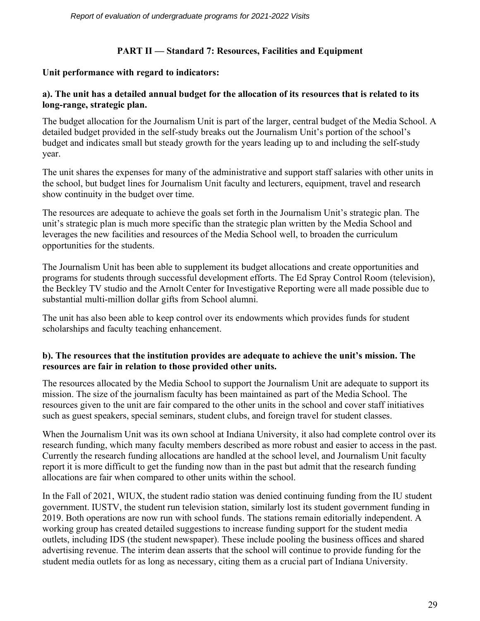# **PART II — Standard 7: Resources, Facilities and Equipment**

## **Unit performance with regard to indicators:**

# **a). The unit has a detailed annual budget for the allocation of its resources that is related to its long-range, strategic plan.**

The budget allocation for the Journalism Unit is part of the larger, central budget of the Media School. A detailed budget provided in the self-study breaks out the Journalism Unit's portion of the school's budget and indicates small but steady growth for the years leading up to and including the self-study year.

The unit shares the expenses for many of the administrative and support staff salaries with other units in the school, but budget lines for Journalism Unit faculty and lecturers, equipment, travel and research show continuity in the budget over time.

The resources are adequate to achieve the goals set forth in the Journalism Unit's strategic plan. The unit's strategic plan is much more specific than the strategic plan written by the Media School and leverages the new facilities and resources of the Media School well, to broaden the curriculum opportunities for the students.

The Journalism Unit has been able to supplement its budget allocations and create opportunities and programs for students through successful development efforts. The Ed Spray Control Room (television), the Beckley TV studio and the Arnolt Center for Investigative Reporting were all made possible due to substantial multi-million dollar gifts from School alumni.

The unit has also been able to keep control over its endowments which provides funds for student scholarships and faculty teaching enhancement.

# **b). The resources that the institution provides are adequate to achieve the unit's mission. The resources are fair in relation to those provided other units.**

The resources allocated by the Media School to support the Journalism Unit are adequate to support its mission. The size of the journalism faculty has been maintained as part of the Media School. The resources given to the unit are fair compared to the other units in the school and cover staff initiatives such as guest speakers, special seminars, student clubs, and foreign travel for student classes.

When the Journalism Unit was its own school at Indiana University, it also had complete control over its research funding, which many faculty members described as more robust and easier to access in the past. Currently the research funding allocations are handled at the school level, and Journalism Unit faculty report it is more difficult to get the funding now than in the past but admit that the research funding allocations are fair when compared to other units within the school.

In the Fall of 2021, WIUX, the student radio station was denied continuing funding from the IU student government. IUSTV, the student run television station, similarly lost its student government funding in 2019. Both operations are now run with school funds. The stations remain editorially independent. A working group has created detailed suggestions to increase funding support for the student media outlets, including IDS (the student newspaper). These include pooling the business offices and shared advertising revenue. The interim dean asserts that the school will continue to provide funding for the student media outlets for as long as necessary, citing them as a crucial part of Indiana University.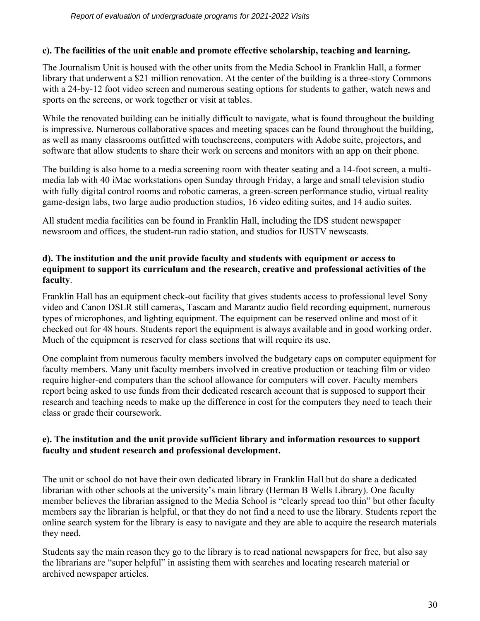# **c). The facilities of the unit enable and promote effective scholarship, teaching and learning.**

The Journalism Unit is housed with the other units from the Media School in Franklin Hall, a former library that underwent a \$21 million renovation. At the center of the building is a three-story Commons with a 24-by-12 foot video screen and numerous seating options for students to gather, watch news and sports on the screens, or work together or visit at tables.

While the renovated building can be initially difficult to navigate, what is found throughout the building is impressive. Numerous collaborative spaces and meeting spaces can be found throughout the building, as well as many classrooms outfitted with touchscreens, computers with Adobe suite, projectors, and software that allow students to share their work on screens and monitors with an app on their phone.

The building is also home to a media screening room with theater seating and a 14-foot screen, a multimedia lab with 40 iMac workstations open Sunday through Friday, a large and small television studio with fully digital control rooms and robotic cameras, a green-screen performance studio, virtual reality game-design labs, two large audio production studios, 16 video editing suites, and 14 audio suites.

All student media facilities can be found in Franklin Hall, including the IDS student newspaper newsroom and offices, the student-run radio station, and studios for IUSTV newscasts.

# **d). The institution and the unit provide faculty and students with equipment or access to equipment to support its curriculum and the research, creative and professional activities of the faculty**.

Franklin Hall has an equipment check-out facility that gives students access to professional level Sony video and Canon DSLR still cameras, Tascam and Marantz audio field recording equipment, numerous types of microphones, and lighting equipment. The equipment can be reserved online and most of it checked out for 48 hours. Students report the equipment is always available and in good working order. Much of the equipment is reserved for class sections that will require its use.

One complaint from numerous faculty members involved the budgetary caps on computer equipment for faculty members. Many unit faculty members involved in creative production or teaching film or video require higher-end computers than the school allowance for computers will cover. Faculty members report being asked to use funds from their dedicated research account that is supposed to support their research and teaching needs to make up the difference in cost for the computers they need to teach their class or grade their coursework.

# **e). The institution and the unit provide sufficient library and information resources to support faculty and student research and professional development.**

The unit or school do not have their own dedicated library in Franklin Hall but do share a dedicated librarian with other schools at the university's main library (Herman B Wells Library). One faculty member believes the librarian assigned to the Media School is "clearly spread too thin" but other faculty members say the librarian is helpful, or that they do not find a need to use the library. Students report the online search system for the library is easy to navigate and they are able to acquire the research materials they need.

Students say the main reason they go to the library is to read national newspapers for free, but also say the librarians are "super helpful" in assisting them with searches and locating research material or archived newspaper articles.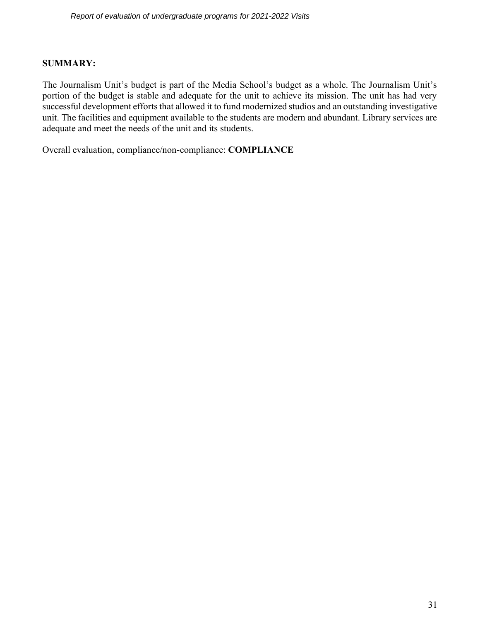#### **SUMMARY:**

The Journalism Unit's budget is part of the Media School's budget as a whole. The Journalism Unit's portion of the budget is stable and adequate for the unit to achieve its mission. The unit has had very successful development efforts that allowed it to fund modernized studios and an outstanding investigative unit. The facilities and equipment available to the students are modern and abundant. Library services are adequate and meet the needs of the unit and its students.

Overall evaluation, compliance/non-compliance: **COMPLIANCE**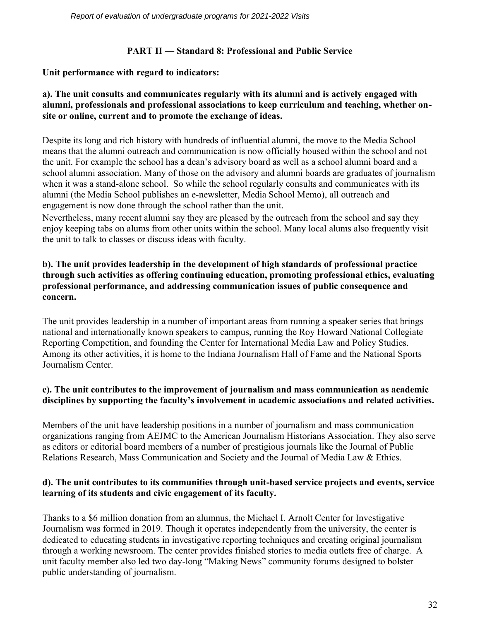# **PART II — Standard 8: Professional and Public Service**

# **Unit performance with regard to indicators:**

# **a). The unit consults and communicates regularly with its alumni and is actively engaged with alumni, professionals and professional associations to keep curriculum and teaching, whether onsite or online, current and to promote the exchange of ideas.**

Despite its long and rich history with hundreds of influential alumni, the move to the Media School means that the alumni outreach and communication is now officially housed within the school and not the unit. For example the school has a dean's advisory board as well as a school alumni board and a school alumni association. Many of those on the advisory and alumni boards are graduates of journalism when it was a stand-alone school. So while the school regularly consults and communicates with its alumni (the Media School publishes an e-newsletter, Media School Memo), all outreach and engagement is now done through the school rather than the unit.

Nevertheless, many recent alumni say they are pleased by the outreach from the school and say they enjoy keeping tabs on alums from other units within the school. Many local alums also frequently visit the unit to talk to classes or discuss ideas with faculty.

# **b). The unit provides leadership in the development of high standards of professional practice through such activities as offering continuing education, promoting professional ethics, evaluating professional performance, and addressing communication issues of public consequence and concern.**

The unit provides leadership in a number of important areas from running a speaker series that brings national and internationally known speakers to campus, running the Roy Howard National Collegiate Reporting Competition, and founding the Center for International Media Law and Policy Studies. Among its other activities, it is home to the Indiana Journalism Hall of Fame and the National Sports Journalism Center.

# **c). The unit contributes to the improvement of journalism and mass communication as academic disciplines by supporting the faculty's involvement in academic associations and related activities.**

Members of the unit have leadership positions in a number of journalism and mass communication organizations ranging from AEJMC to the American Journalism Historians Association. They also serve as editors or editorial board members of a number of prestigious journals like the Journal of Public Relations Research, Mass Communication and Society and the Journal of Media Law & Ethics.

# **d). The unit contributes to its communities through unit-based service projects and events, service learning of its students and civic engagement of its faculty.**

Thanks to a \$6 million donation from an alumnus, the Michael I. Arnolt Center for Investigative Journalism was formed in 2019. Though it operates independently from the university, the center is dedicated to educating students in investigative reporting techniques and creating original journalism through a working newsroom. The center provides finished stories to media outlets free of charge. A unit faculty member also led two day-long "Making News" community forums designed to bolster public understanding of journalism.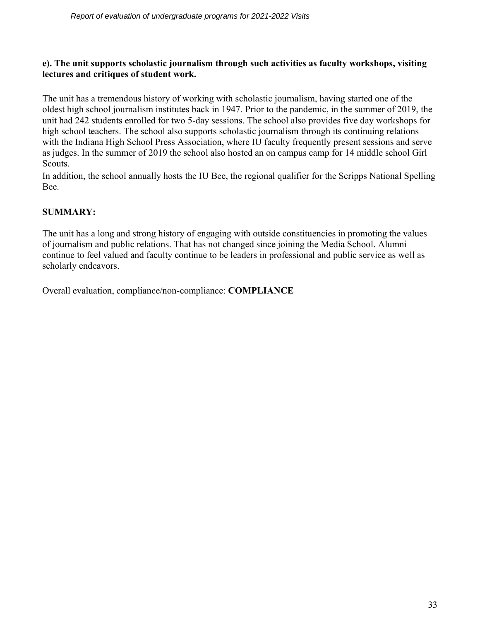# **e). The unit supports scholastic journalism through such activities as faculty workshops, visiting lectures and critiques of student work.**

The unit has a tremendous history of working with scholastic journalism, having started one of the oldest high school journalism institutes back in 1947. Prior to the pandemic, in the summer of 2019, the unit had 242 students enrolled for two 5-day sessions. The school also provides five day workshops for high school teachers. The school also supports scholastic journalism through its continuing relations with the Indiana High School Press Association, where IU faculty frequently present sessions and serve as judges. In the summer of 2019 the school also hosted an on campus camp for 14 middle school Girl Scouts.

In addition, the school annually hosts the IU Bee, the regional qualifier for the Scripps National Spelling Bee.

# **SUMMARY:**

The unit has a long and strong history of engaging with outside constituencies in promoting the values of journalism and public relations. That has not changed since joining the Media School. Alumni continue to feel valued and faculty continue to be leaders in professional and public service as well as scholarly endeavors.

Overall evaluation, compliance/non-compliance: **COMPLIANCE**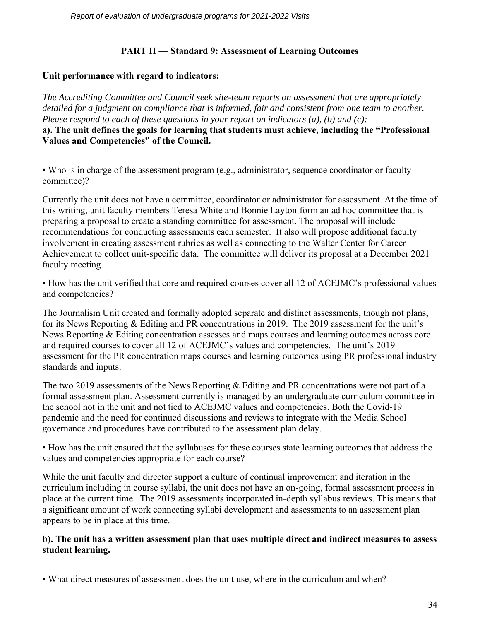# **PART II — Standard 9: Assessment of Learning Outcomes**

# **Unit performance with regard to indicators:**

*The Accrediting Committee and Council seek site-team reports on assessment that are appropriately detailed for a judgment on compliance that is informed, fair and consistent from one team to another. Please respond to each of these questions in your report on indicators (a), (b) and (c):* **a). The unit defines the goals for learning that students must achieve, including the "Professional Values and Competencies" of the Council.**

• Who is in charge of the assessment program (e.g., administrator, sequence coordinator or faculty committee)?

Currently the unit does not have a committee, coordinator or administrator for assessment. At the time of this writing, unit faculty members Teresa White and Bonnie Layton form an ad hoc committee that is preparing a proposal to create a standing committee for assessment. The proposal will include recommendations for conducting assessments each semester. It also will propose additional faculty involvement in creating assessment rubrics as well as connecting to the Walter Center for Career Achievement to collect unit-specific data. The committee will deliver its proposal at a December 2021 faculty meeting.

• How has the unit verified that core and required courses cover all 12 of ACEJMC's professional values and competencies?

The Journalism Unit created and formally adopted separate and distinct assessments, though not plans, for its News Reporting & Editing and PR concentrations in 2019. The 2019 assessment for the unit's News Reporting & Editing concentration assesses and maps courses and learning outcomes across core and required courses to cover all 12 of ACEJMC's values and competencies. The unit's 2019 assessment for the PR concentration maps courses and learning outcomes using PR professional industry standards and inputs.

The two 2019 assessments of the News Reporting & Editing and PR concentrations were not part of a formal assessment plan. Assessment currently is managed by an undergraduate curriculum committee in the school not in the unit and not tied to ACEJMC values and competencies. Both the Covid-19 pandemic and the need for continued discussions and reviews to integrate with the Media School governance and procedures have contributed to the assessment plan delay.

• How has the unit ensured that the syllabuses for these courses state learning outcomes that address the values and competencies appropriate for each course?

While the unit faculty and director support a culture of continual improvement and iteration in the curriculum including in course syllabi, the unit does not have an on-going, formal assessment process in place at the current time. The 2019 assessments incorporated in-depth syllabus reviews. This means that a significant amount of work connecting syllabi development and assessments to an assessment plan appears to be in place at this time.

# **b). The unit has a written assessment plan that uses multiple direct and indirect measures to assess student learning.**

• What direct measures of assessment does the unit use, where in the curriculum and when?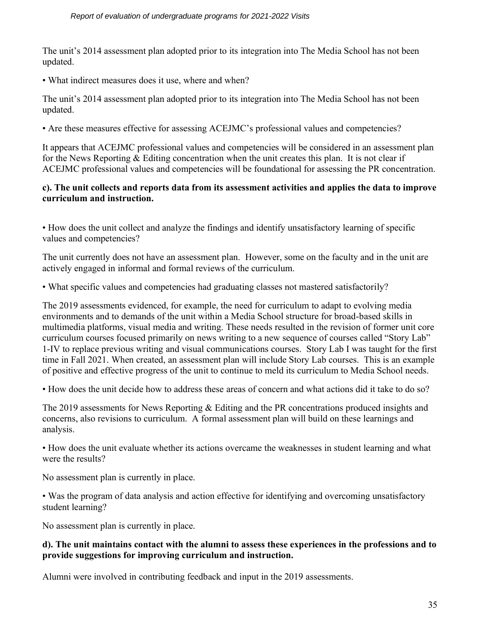The unit's 2014 assessment plan adopted prior to its integration into The Media School has not been updated.

• What indirect measures does it use, where and when?

The unit's 2014 assessment plan adopted prior to its integration into The Media School has not been updated.

• Are these measures effective for assessing ACEJMC's professional values and competencies?

It appears that ACEJMC professional values and competencies will be considered in an assessment plan for the News Reporting  $&$  Editing concentration when the unit creates this plan. It is not clear if ACEJMC professional values and competencies will be foundational for assessing the PR concentration.

# **c). The unit collects and reports data from its assessment activities and applies the data to improve curriculum and instruction.**

• How does the unit collect and analyze the findings and identify unsatisfactory learning of specific values and competencies?

The unit currently does not have an assessment plan. However, some on the faculty and in the unit are actively engaged in informal and formal reviews of the curriculum.

• What specific values and competencies had graduating classes not mastered satisfactorily?

The 2019 assessments evidenced, for example, the need for curriculum to adapt to evolving media environments and to demands of the unit within a Media School structure for broad-based skills in multimedia platforms, visual media and writing. These needs resulted in the revision of former unit core curriculum courses focused primarily on news writing to a new sequence of courses called "Story Lab" 1-IV to replace previous writing and visual communications courses. Story Lab I was taught for the first time in Fall 2021. When created, an assessment plan will include Story Lab courses. This is an example of positive and effective progress of the unit to continue to meld its curriculum to Media School needs.

• How does the unit decide how to address these areas of concern and what actions did it take to do so?

The 2019 assessments for News Reporting & Editing and the PR concentrations produced insights and concerns, also revisions to curriculum. A formal assessment plan will build on these learnings and analysis.

• How does the unit evaluate whether its actions overcame the weaknesses in student learning and what were the results?

No assessment plan is currently in place.

• Was the program of data analysis and action effective for identifying and overcoming unsatisfactory student learning?

No assessment plan is currently in place.

#### **d). The unit maintains contact with the alumni to assess these experiences in the professions and to provide suggestions for improving curriculum and instruction.**

Alumni were involved in contributing feedback and input in the 2019 assessments.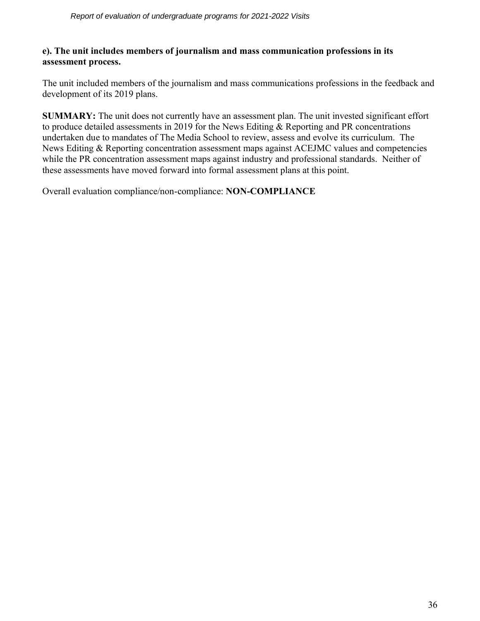#### **e). The unit includes members of journalism and mass communication professions in its assessment process.**

The unit included members of the journalism and mass communications professions in the feedback and development of its 2019 plans.

**SUMMARY:** The unit does not currently have an assessment plan. The unit invested significant effort to produce detailed assessments in 2019 for the News Editing & Reporting and PR concentrations undertaken due to mandates of The Media School to review, assess and evolve its curriculum. The News Editing & Reporting concentration assessment maps against ACEJMC values and competencies while the PR concentration assessment maps against industry and professional standards. Neither of these assessments have moved forward into formal assessment plans at this point.

Overall evaluation compliance/non-compliance: **NON-COMPLIANCE**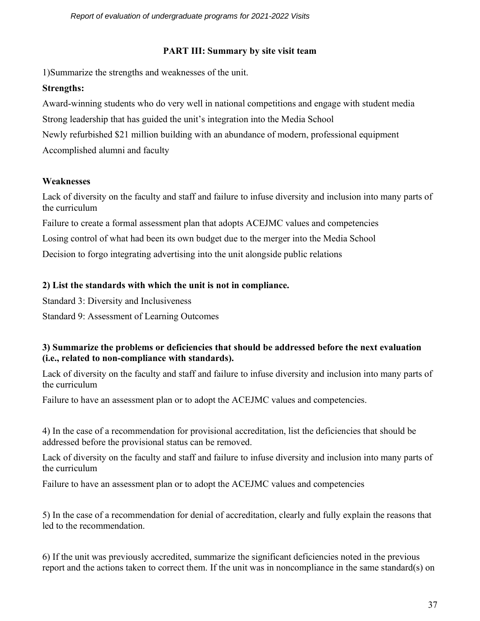# **PART III: Summary by site visit team**

1)Summarize the strengths and weaknesses of the unit.

# **Strengths:**

Award-winning students who do very well in national competitions and engage with student media Strong leadership that has guided the unit's integration into the Media School Newly refurbished \$21 million building with an abundance of modern, professional equipment Accomplished alumni and faculty

# **Weaknesses**

Lack of diversity on the faculty and staff and failure to infuse diversity and inclusion into many parts of the curriculum

Failure to create a formal assessment plan that adopts ACEJMC values and competencies Losing control of what had been its own budget due to the merger into the Media School Decision to forgo integrating advertising into the unit alongside public relations

# **2) List the standards with which the unit is not in compliance.**

Standard 3: Diversity and Inclusiveness

Standard 9: Assessment of Learning Outcomes

# **3) Summarize the problems or deficiencies that should be addressed before the next evaluation (i.e., related to non-compliance with standards).**

Lack of diversity on the faculty and staff and failure to infuse diversity and inclusion into many parts of the curriculum

Failure to have an assessment plan or to adopt the ACEJMC values and competencies.

4) In the case of a recommendation for provisional accreditation, list the deficiencies that should be addressed before the provisional status can be removed.

Lack of diversity on the faculty and staff and failure to infuse diversity and inclusion into many parts of the curriculum

Failure to have an assessment plan or to adopt the ACEJMC values and competencies

5) In the case of a recommendation for denial of accreditation, clearly and fully explain the reasons that led to the recommendation.

6) If the unit was previously accredited, summarize the significant deficiencies noted in the previous report and the actions taken to correct them. If the unit was in noncompliance in the same standard(s) on